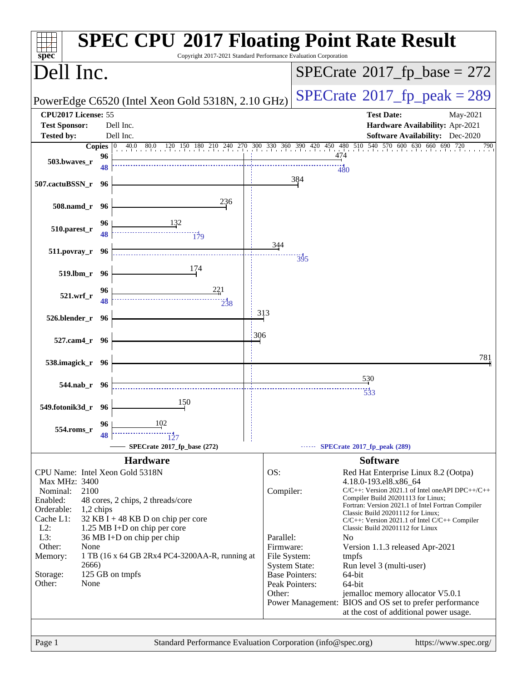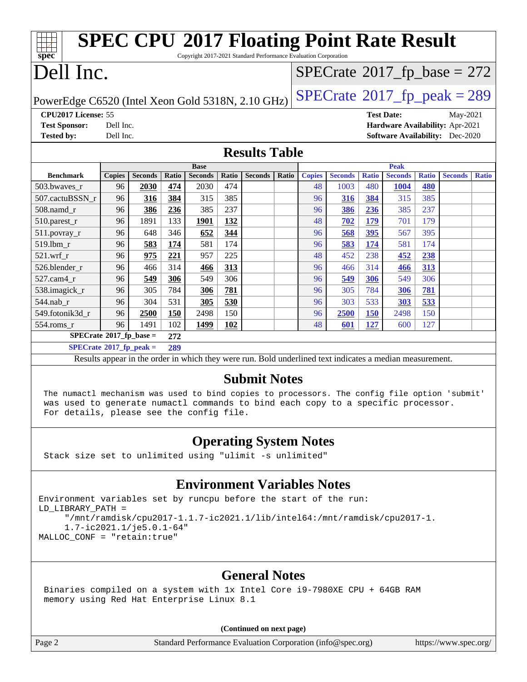| <b>SPEC CPU®2017 Floating Point Rate Result</b><br>Copyright 2017-2021 Standard Performance Evaluation Corporation<br>spec <sup>®</sup>                                                                                                             |               |                |            |                    |              |                      |       |               |                |              |                   |              |                                             |              |
|-----------------------------------------------------------------------------------------------------------------------------------------------------------------------------------------------------------------------------------------------------|---------------|----------------|------------|--------------------|--------------|----------------------|-------|---------------|----------------|--------------|-------------------|--------------|---------------------------------------------|--------------|
| Dell Inc.<br>$SPECTate$ <sup>®</sup> 2017_fp_base = 272                                                                                                                                                                                             |               |                |            |                    |              |                      |       |               |                |              |                   |              |                                             |              |
|                                                                                                                                                                                                                                                     |               |                |            |                    |              |                      |       |               |                |              |                   |              | $SPECTate@2017fp peak = 289$                |              |
| PowerEdge C6520 (Intel Xeon Gold 5318N, 2.10 GHz)                                                                                                                                                                                                   |               |                |            |                    |              |                      |       |               |                |              |                   |              |                                             |              |
| CPU2017 License: 55<br><b>Test Sponsor:</b>                                                                                                                                                                                                         | Dell Inc.     |                |            |                    |              |                      |       |               |                |              | <b>Test Date:</b> |              | May-2021<br>Hardware Availability: Apr-2021 |              |
| <b>Tested by:</b>                                                                                                                                                                                                                                   | Dell Inc.     |                |            |                    |              |                      |       |               |                |              |                   |              | <b>Software Availability:</b> Dec-2020      |              |
|                                                                                                                                                                                                                                                     |               |                |            |                    |              | <b>Results Table</b> |       |               |                |              |                   |              |                                             |              |
|                                                                                                                                                                                                                                                     |               |                |            | <b>Base</b>        |              |                      |       |               |                |              | <b>Peak</b>       |              |                                             |              |
| <b>Benchmark</b>                                                                                                                                                                                                                                    | <b>Copies</b> | <b>Seconds</b> | Ratio      | <b>Seconds</b>     | <b>Ratio</b> | <b>Seconds</b>       | Ratio | <b>Copies</b> | <b>Seconds</b> | <b>Ratio</b> | <b>Seconds</b>    | <b>Ratio</b> | <b>Seconds</b>                              | <b>Ratio</b> |
| 503.bwaves_r                                                                                                                                                                                                                                        | 96            | 2030           | 474        | 2030               | 474          |                      |       | 48            | 1003           | 480          | <b>1004</b>       | 480          |                                             |              |
| 507.cactuBSSN r                                                                                                                                                                                                                                     | 96            | 316            | 384        | 315                | 385<br>237   |                      |       | 96            | 316            | 384          | 315               | 385<br>237   |                                             |              |
| $508$ .namd $_r$<br>510.parest_r                                                                                                                                                                                                                    | 96<br>96      | 386<br>1891    | 236<br>133 | 385<br><b>1901</b> | 132          |                      |       | 96<br>48      | 386<br>702     | 236<br>179   | 385<br>701        | 179          |                                             |              |
| 511.povray_r                                                                                                                                                                                                                                        | 96            | 648            | 346        | 652                | 344          |                      |       | 96            | 568            | 395          | 567               | 395          |                                             |              |
| 519.1bm_r                                                                                                                                                                                                                                           | 96            | 583            | 174        | 581                | 174          |                      |       | 96            | 583            | 174          | 581               | 174          |                                             |              |
| 521.wrf                                                                                                                                                                                                                                             | 96            | 975            | 221        | 957                | 225          |                      |       | 48            | 452            | 238          | 452               | 238          |                                             |              |
| 526.blender_r                                                                                                                                                                                                                                       | 96            | 466            | 314        | <u>466</u>         | 313          |                      |       | 96            | 466            | 314          | 466               | 313          |                                             |              |
| 527.cam4_r                                                                                                                                                                                                                                          | 96            | 549            | 306        | 549                | 306          |                      |       | 96            | 549            | 306          | 549               | 306          |                                             |              |
| 538.imagick_r                                                                                                                                                                                                                                       | 96            | 305            | 784        | 306                | 781          |                      |       | 96            | 305            | 784          | 306               | 781          |                                             |              |
| 544.nab r                                                                                                                                                                                                                                           | 96            | 304            | 531        | 305                | 530          |                      |       | 96            | 303            | 533          | 303               | 533          |                                             |              |
| 549.fotonik3d_r                                                                                                                                                                                                                                     | 96            | 2500           | 150        | 2498               | 150          |                      |       | 96            | 2500           | <b>150</b>   | 2498              | 150          |                                             |              |
| 554.roms_r                                                                                                                                                                                                                                          | 96            | 1491           | 102        | 1499               | 102          |                      |       | 48            | 601            | 127          | 600               | 127          |                                             |              |
| $SPECrate$ <sup>®</sup> 2017_fp_base =<br>272                                                                                                                                                                                                       |               |                |            |                    |              |                      |       |               |                |              |                   |              |                                             |              |
| $SPECrate^{\circ}2017$ _fp_peak =                                                                                                                                                                                                                   |               |                | 289        |                    |              |                      |       |               |                |              |                   |              |                                             |              |
| Results appear in the order in which they were run. Bold underlined text indicates a median measurement.                                                                                                                                            |               |                |            |                    |              |                      |       |               |                |              |                   |              |                                             |              |
| <b>Submit Notes</b><br>The numactl mechanism was used to bind copies to processors. The config file option 'submit'<br>was used to generate numactl commands to bind each copy to a specific processor.<br>For details, please see the config file. |               |                |            |                    |              |                      |       |               |                |              |                   |              |                                             |              |
| <b>Operating System Notes</b><br>Stack size set to unlimited using "ulimit -s unlimited"                                                                                                                                                            |               |                |            |                    |              |                      |       |               |                |              |                   |              |                                             |              |
| <b>Environment Variables Notes</b>                                                                                                                                                                                                                  |               |                |            |                    |              |                      |       |               |                |              |                   |              |                                             |              |
| Environment variables set by runcpu before the start of the run:<br>LD LIBRARY PATH =<br>"/mnt/ramdisk/cpu2017-1.1.7-ic2021.1/lib/intel64:/mnt/ramdisk/cpu2017-1.<br>$1.7 - ic2021.1/je5.0.1-64"$<br>MALLOC_CONF = "retain:true"                    |               |                |            |                    |              |                      |       |               |                |              |                   |              |                                             |              |
|                                                                                                                                                                                                                                                     |               |                |            |                    |              |                      |       |               |                |              |                   |              |                                             |              |

### **[General Notes](http://www.spec.org/auto/cpu2017/Docs/result-fields.html#GeneralNotes)**

 Binaries compiled on a system with 1x Intel Core i9-7980XE CPU + 64GB RAM memory using Red Hat Enterprise Linux 8.1

**(Continued on next page)**

Page 2 Standard Performance Evaluation Corporation [\(info@spec.org\)](mailto:info@spec.org) <https://www.spec.org/>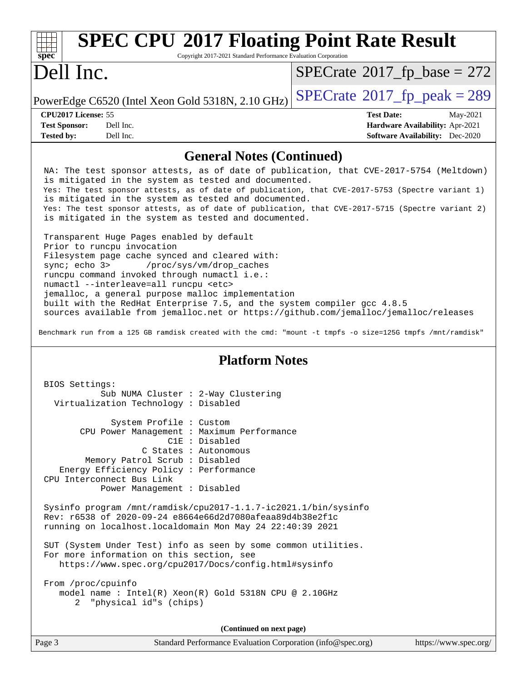| $\frac{1}{\text{spec}^*}$<br><b>SPEC CPU®2017 Floating Point Rate Result</b><br>Copyright 2017-2021 Standard Performance Evaluation Corporation |                                              |
|-------------------------------------------------------------------------------------------------------------------------------------------------|----------------------------------------------|
| Dell Inc.                                                                                                                                       | $SPECrate^{\circledast}2017\_fp\_base = 272$ |
| PowerEdge C6520 (Intel Xeon Gold 5318N, 2.10 GHz) $\left $ SPECrate®2017_fp_peak = 289                                                          |                                              |

| <b>CPU2017 License: 55</b> |  |  |  |
|----------------------------|--|--|--|

| <b>Test Sponsor:</b> | Dell Inc. |
|----------------------|-----------|
| <b>Tested by:</b>    | Dell Inc. |

**[CPU2017 License:](http://www.spec.org/auto/cpu2017/Docs/result-fields.html#CPU2017License)** 55 **[Test Date:](http://www.spec.org/auto/cpu2017/Docs/result-fields.html#TestDate)** May-2021 **[Hardware Availability:](http://www.spec.org/auto/cpu2017/Docs/result-fields.html#HardwareAvailability)** Apr-2021 **[Software Availability:](http://www.spec.org/auto/cpu2017/Docs/result-fields.html#SoftwareAvailability)** Dec-2020

### **[General Notes \(Continued\)](http://www.spec.org/auto/cpu2017/Docs/result-fields.html#GeneralNotes)**

 NA: The test sponsor attests, as of date of publication, that CVE-2017-5754 (Meltdown) is mitigated in the system as tested and documented. Yes: The test sponsor attests, as of date of publication, that CVE-2017-5753 (Spectre variant 1) is mitigated in the system as tested and documented. Yes: The test sponsor attests, as of date of publication, that CVE-2017-5715 (Spectre variant 2) is mitigated in the system as tested and documented.

 Transparent Huge Pages enabled by default Prior to runcpu invocation Filesystem page cache synced and cleared with: sync; echo 3> /proc/sys/vm/drop\_caches runcpu command invoked through numactl i.e.: numactl --interleave=all runcpu <etc> jemalloc, a general purpose malloc implementation built with the RedHat Enterprise 7.5, and the system compiler gcc 4.8.5 sources available from jemalloc.net or<https://github.com/jemalloc/jemalloc/releases>

Benchmark run from a 125 GB ramdisk created with the cmd: "mount -t tmpfs -o size=125G tmpfs /mnt/ramdisk"

#### **[Platform Notes](http://www.spec.org/auto/cpu2017/Docs/result-fields.html#PlatformNotes)**

| BIOS Settings:                                                                                                                                                                            |                                                                |  |  |  |
|-------------------------------------------------------------------------------------------------------------------------------------------------------------------------------------------|----------------------------------------------------------------|--|--|--|
|                                                                                                                                                                                           | Sub NUMA Cluster : 2-Way Clustering                            |  |  |  |
| Virtualization Technology: Disabled                                                                                                                                                       |                                                                |  |  |  |
|                                                                                                                                                                                           |                                                                |  |  |  |
| System Profile : Custom                                                                                                                                                                   |                                                                |  |  |  |
|                                                                                                                                                                                           | CPU Power Management : Maximum Performance                     |  |  |  |
|                                                                                                                                                                                           | C1E : Disabled                                                 |  |  |  |
|                                                                                                                                                                                           | C States : Autonomous                                          |  |  |  |
| Memory Patrol Scrub: Disabled                                                                                                                                                             |                                                                |  |  |  |
| Energy Efficiency Policy : Performance                                                                                                                                                    |                                                                |  |  |  |
| CPU Interconnect Bus Link                                                                                                                                                                 |                                                                |  |  |  |
| Power Management : Disabled                                                                                                                                                               |                                                                |  |  |  |
| Sysinfo program /mnt/ramdisk/cpu2017-1.1.7-ic2021.1/bin/sysinfo<br>Rev: r6538 of 2020-09-24 e8664e66d2d7080afeaa89d4b38e2f1c<br>running on localhost.localdomain Mon May 24 22:40:39 2021 |                                                                |  |  |  |
|                                                                                                                                                                                           | SUT (System Under Test) info as seen by some common utilities. |  |  |  |
| For more information on this section, see                                                                                                                                                 |                                                                |  |  |  |
|                                                                                                                                                                                           | https://www.spec.org/cpu2017/Docs/config.html#sysinfo          |  |  |  |
|                                                                                                                                                                                           |                                                                |  |  |  |
| From /proc/cpuinfo                                                                                                                                                                        |                                                                |  |  |  |
|                                                                                                                                                                                           | model name : Intel(R) Xeon(R) Gold 5318N CPU @ 2.10GHz         |  |  |  |
| 2 "physical id"s (chips)                                                                                                                                                                  |                                                                |  |  |  |
|                                                                                                                                                                                           |                                                                |  |  |  |
|                                                                                                                                                                                           | (Continued on next page)                                       |  |  |  |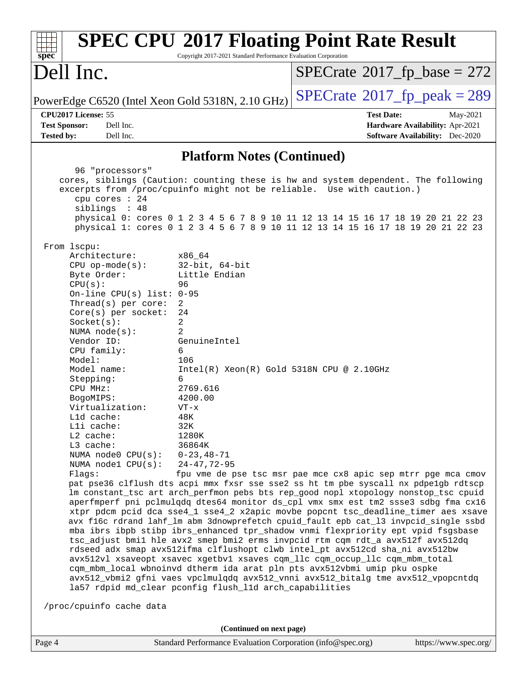| $spec^*$                                                                                                                                                                                                                                                                                                                                                                                                                                                                                                                                                                                                                                                                                                                                                                                                                                                                                                                                                                                                                                                                                                                                                                                                                                                                                                                                                                                                                                                                                                                                                                                                                                                                                                                                                                                                                                                                                                                                                            | <b>SPEC CPU®2017 Floating Point Rate Result</b><br>Copyright 2017-2021 Standard Performance Evaluation Corporation                                          |                                      |                                                                           |  |
|---------------------------------------------------------------------------------------------------------------------------------------------------------------------------------------------------------------------------------------------------------------------------------------------------------------------------------------------------------------------------------------------------------------------------------------------------------------------------------------------------------------------------------------------------------------------------------------------------------------------------------------------------------------------------------------------------------------------------------------------------------------------------------------------------------------------------------------------------------------------------------------------------------------------------------------------------------------------------------------------------------------------------------------------------------------------------------------------------------------------------------------------------------------------------------------------------------------------------------------------------------------------------------------------------------------------------------------------------------------------------------------------------------------------------------------------------------------------------------------------------------------------------------------------------------------------------------------------------------------------------------------------------------------------------------------------------------------------------------------------------------------------------------------------------------------------------------------------------------------------------------------------------------------------------------------------------------------------|-------------------------------------------------------------------------------------------------------------------------------------------------------------|--------------------------------------|---------------------------------------------------------------------------|--|
| Dell Inc.                                                                                                                                                                                                                                                                                                                                                                                                                                                                                                                                                                                                                                                                                                                                                                                                                                                                                                                                                                                                                                                                                                                                                                                                                                                                                                                                                                                                                                                                                                                                                                                                                                                                                                                                                                                                                                                                                                                                                           |                                                                                                                                                             | $SPECrate^{\circ}2017$ [p base = 272 |                                                                           |  |
| PowerEdge C6520 (Intel Xeon Gold 5318N, 2.10 GHz)                                                                                                                                                                                                                                                                                                                                                                                                                                                                                                                                                                                                                                                                                                                                                                                                                                                                                                                                                                                                                                                                                                                                                                                                                                                                                                                                                                                                                                                                                                                                                                                                                                                                                                                                                                                                                                                                                                                   |                                                                                                                                                             | $SPECTate@2017fr peak = 289$         |                                                                           |  |
| CPU2017 License: 55                                                                                                                                                                                                                                                                                                                                                                                                                                                                                                                                                                                                                                                                                                                                                                                                                                                                                                                                                                                                                                                                                                                                                                                                                                                                                                                                                                                                                                                                                                                                                                                                                                                                                                                                                                                                                                                                                                                                                 |                                                                                                                                                             | <b>Test Date:</b>                    | May-2021                                                                  |  |
| <b>Test Sponsor:</b><br>Dell Inc.<br>Dell Inc.<br><b>Tested by:</b>                                                                                                                                                                                                                                                                                                                                                                                                                                                                                                                                                                                                                                                                                                                                                                                                                                                                                                                                                                                                                                                                                                                                                                                                                                                                                                                                                                                                                                                                                                                                                                                                                                                                                                                                                                                                                                                                                                 |                                                                                                                                                             |                                      | Hardware Availability: Apr-2021<br><b>Software Availability:</b> Dec-2020 |  |
|                                                                                                                                                                                                                                                                                                                                                                                                                                                                                                                                                                                                                                                                                                                                                                                                                                                                                                                                                                                                                                                                                                                                                                                                                                                                                                                                                                                                                                                                                                                                                                                                                                                                                                                                                                                                                                                                                                                                                                     |                                                                                                                                                             |                                      |                                                                           |  |
|                                                                                                                                                                                                                                                                                                                                                                                                                                                                                                                                                                                                                                                                                                                                                                                                                                                                                                                                                                                                                                                                                                                                                                                                                                                                                                                                                                                                                                                                                                                                                                                                                                                                                                                                                                                                                                                                                                                                                                     | <b>Platform Notes (Continued)</b>                                                                                                                           |                                      |                                                                           |  |
| 96 "processors"<br>cpu cores : 24<br>siblings : 48                                                                                                                                                                                                                                                                                                                                                                                                                                                                                                                                                                                                                                                                                                                                                                                                                                                                                                                                                                                                                                                                                                                                                                                                                                                                                                                                                                                                                                                                                                                                                                                                                                                                                                                                                                                                                                                                                                                  | cores, siblings (Caution: counting these is hw and system dependent. The following<br>excerpts from /proc/cpuinfo might not be reliable. Use with caution.) |                                      |                                                                           |  |
| physical 0: cores 0 1 2 3 4 5 6 7 8 9 10 11 12 13 14 15 16 17 18 19 20 21 22 23<br>physical 1: cores 0 1 2 3 4 5 6 7 8 9 10 11 12 13 14 15 16 17 18 19 20 21 22 23<br>From 1scpu:<br>Architecture:<br>x86 64<br>$32$ -bit, $64$ -bit<br>$CPU$ op-mode( $s$ ):<br>Little Endian<br>Byte Order:<br>96<br>CPU(s):<br>On-line CPU(s) list: $0-95$<br>Thread( $s$ ) per core:<br>2<br>24<br>$Core(s)$ per socket:<br>Socket(s):<br>2<br>2<br>NUMA $node(s):$<br>Vendor ID:<br>GenuineIntel<br>CPU family:<br>6<br>Model:<br>106<br>Model name:<br>$Intel(R) Xeon(R) Gold 5318N CPU @ 2.10GHz$<br>Stepping:<br>6<br>2769.616<br>CPU MHz:<br>4200.00<br>BogoMIPS:<br>Virtualization:<br>$VT - x$<br>48K<br>Lld cache:<br>Lli cache:<br>32K<br>L2 cache:<br>1280K<br>L3 cache:<br>36864K<br>NUMA node0 CPU(s):<br>$0 - 23, 48 - 71$<br>NUMA nodel CPU(s):<br>$24 - 47, 72 - 95$<br>fpu vme de pse tsc msr pae mce cx8 apic sep mtrr pge mca cmov<br>Flags:<br>pat pse36 clflush dts acpi mmx fxsr sse sse2 ss ht tm pbe syscall nx pdpe1gb rdtscp<br>lm constant_tsc art arch_perfmon pebs bts rep_good nopl xtopology nonstop_tsc cpuid<br>aperfmperf pni pclmulqdq dtes64 monitor ds_cpl vmx smx est tm2 ssse3 sdbg fma cx16<br>xtpr pdcm pcid dca sse4_1 sse4_2 x2apic movbe popcnt tsc_deadline_timer aes xsave<br>avx f16c rdrand lahf_lm abm 3dnowprefetch cpuid_fault epb cat_13 invpcid_single ssbd<br>mba ibrs ibpb stibp ibrs_enhanced tpr_shadow vnmi flexpriority ept vpid fsgsbase<br>tsc_adjust bmil hle avx2 smep bmi2 erms invpcid rtm cqm rdt_a avx512f avx512dq<br>rdseed adx smap avx512ifma clflushopt clwb intel_pt avx512cd sha_ni avx512bw<br>avx512vl xsaveopt xsavec xgetbvl xsaves cqm_llc cqm_occup_llc cqm_mbm_total<br>cqm_mbm_local wbnoinvd dtherm ida arat pln pts avx512vbmi umip pku ospke<br>avx512_vbmi2 gfni vaes vpclmulqdq avx512_vnni avx512_bitalg tme avx512_vpopcntdq<br>la57 rdpid md_clear pconfig flush_l1d arch_capabilities |                                                                                                                                                             |                                      |                                                                           |  |
| /proc/cpuinfo cache data                                                                                                                                                                                                                                                                                                                                                                                                                                                                                                                                                                                                                                                                                                                                                                                                                                                                                                                                                                                                                                                                                                                                                                                                                                                                                                                                                                                                                                                                                                                                                                                                                                                                                                                                                                                                                                                                                                                                            | (Continued on next page)                                                                                                                                    |                                      |                                                                           |  |
| Page 4                                                                                                                                                                                                                                                                                                                                                                                                                                                                                                                                                                                                                                                                                                                                                                                                                                                                                                                                                                                                                                                                                                                                                                                                                                                                                                                                                                                                                                                                                                                                                                                                                                                                                                                                                                                                                                                                                                                                                              | Standard Performance Evaluation Corporation (info@spec.org)                                                                                                 |                                      | https://www.spec.org/                                                     |  |
|                                                                                                                                                                                                                                                                                                                                                                                                                                                                                                                                                                                                                                                                                                                                                                                                                                                                                                                                                                                                                                                                                                                                                                                                                                                                                                                                                                                                                                                                                                                                                                                                                                                                                                                                                                                                                                                                                                                                                                     |                                                                                                                                                             |                                      |                                                                           |  |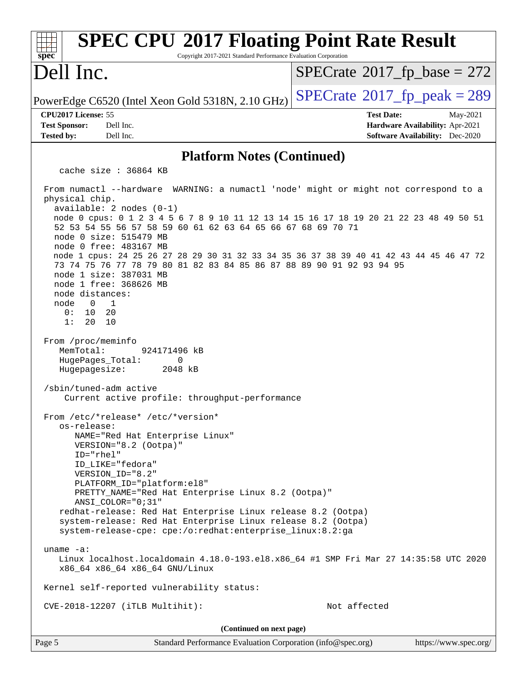| <b>SPEC CPU®2017 Floating Point Rate Result</b><br>spec<br>Copyright 2017-2021 Standard Performance Evaluation Corporation                                                                                                                                                                                                                                                                                                                   |                                                                           |
|----------------------------------------------------------------------------------------------------------------------------------------------------------------------------------------------------------------------------------------------------------------------------------------------------------------------------------------------------------------------------------------------------------------------------------------------|---------------------------------------------------------------------------|
| Dell Inc.                                                                                                                                                                                                                                                                                                                                                                                                                                    | $SPECTate@2017_fp\_base = 272$                                            |
| PowerEdge C6520 (Intel Xeon Gold 5318N, 2.10 GHz)                                                                                                                                                                                                                                                                                                                                                                                            | $SPECTate@2017_fp\_peak = 289$                                            |
| CPU2017 License: 55                                                                                                                                                                                                                                                                                                                                                                                                                          | <b>Test Date:</b><br>May-2021                                             |
| <b>Test Sponsor:</b><br>Dell Inc.<br><b>Tested by:</b><br>Dell Inc.                                                                                                                                                                                                                                                                                                                                                                          | Hardware Availability: Apr-2021<br><b>Software Availability:</b> Dec-2020 |
| <b>Platform Notes (Continued)</b>                                                                                                                                                                                                                                                                                                                                                                                                            |                                                                           |
| cache size : 36864 KB                                                                                                                                                                                                                                                                                                                                                                                                                        |                                                                           |
| From numactl --hardware WARNING: a numactl 'node' might or might not correspond to a<br>physical chip.<br>$available: 2 nodes (0-1)$<br>node 0 cpus: 0 1 2 3 4 5 6 7 8 9 10 11 12 13 14 15 16 17 18 19 20 21 22 23 48 49 50 51<br>52 53 54 55 56 57 58 59 60 61 62 63 64 65 66 67 68 69 70 71<br>node 0 size: 515479 MB<br>node 0 free: 483167 MB<br>node 1 cpus: 24 25 26 27 28 29 30 31 32 33 34 35 36 37 38 39 40 41 42 43 44 45 46 47 72 |                                                                           |
| 73 74 75 76 77 78 79 80 81 82 83 84 85 86 87 88 89 90 91 92 93 94 95<br>node 1 size: 387031 MB<br>node 1 free: 368626 MB<br>node distances:<br>node<br>$\Omega$<br>1<br>0:<br>10<br>20<br>10<br>1:<br>20                                                                                                                                                                                                                                     |                                                                           |
| From /proc/meminfo<br>MemTotal:<br>924171496 kB<br>HugePages_Total:<br>0<br>Hugepagesize:<br>2048 kB<br>/sbin/tuned-adm active<br>Current active profile: throughput-performance                                                                                                                                                                                                                                                             |                                                                           |
| From /etc/*release* /etc/*version*<br>os-release:<br>NAME="Red Hat Enterprise Linux"<br>VERSION="8.2 (Ootpa)"<br>ID="rhel"<br>ID LIKE="fedora"<br>VERSION ID="8.2"<br>PLATFORM_ID="platform:el8"<br>PRETTY_NAME="Red Hat Enterprise Linux 8.2 (Ootpa)"                                                                                                                                                                                       |                                                                           |
| ANSI_COLOR="0;31"<br>redhat-release: Red Hat Enterprise Linux release 8.2 (Ootpa)<br>system-release: Red Hat Enterprise Linux release 8.2 (Ootpa)<br>system-release-cpe: cpe:/o:redhat:enterprise_linux:8.2:ga                                                                                                                                                                                                                               |                                                                           |
| uname $-a$ :<br>Linux localhost.localdomain 4.18.0-193.el8.x86_64 #1 SMP Fri Mar 27 14:35:58 UTC 2020<br>x86_64 x86_64 x86_64 GNU/Linux                                                                                                                                                                                                                                                                                                      |                                                                           |
| Kernel self-reported vulnerability status:                                                                                                                                                                                                                                                                                                                                                                                                   |                                                                           |
| CVE-2018-12207 (iTLB Multihit):                                                                                                                                                                                                                                                                                                                                                                                                              | Not affected                                                              |
| (Continued on next page)                                                                                                                                                                                                                                                                                                                                                                                                                     |                                                                           |
| Page 5<br>Standard Performance Evaluation Corporation (info@spec.org)                                                                                                                                                                                                                                                                                                                                                                        | https://www.spec.org/                                                     |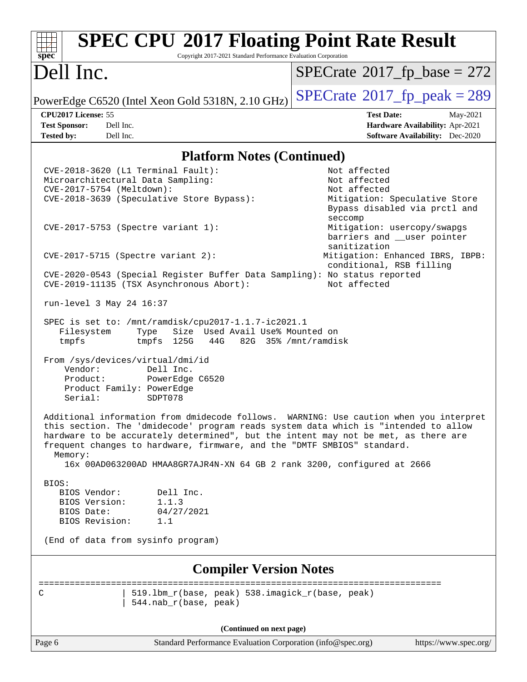| <b>SPEC CPU®2017 Floating Point Rate Result</b><br>spec<br>Copyright 2017-2021 Standard Performance Evaluation Corporation                                                                                                                                                                                                                                                                                                           |                                                                              |
|--------------------------------------------------------------------------------------------------------------------------------------------------------------------------------------------------------------------------------------------------------------------------------------------------------------------------------------------------------------------------------------------------------------------------------------|------------------------------------------------------------------------------|
| Dell Inc.                                                                                                                                                                                                                                                                                                                                                                                                                            | $SPECrate^{\circ}2017$ _fp_base = 272                                        |
| PowerEdge C6520 (Intel Xeon Gold 5318N, 2.10 GHz)                                                                                                                                                                                                                                                                                                                                                                                    | $SPECTate@2017_fp\_peak = 289$                                               |
| CPU2017 License: 55                                                                                                                                                                                                                                                                                                                                                                                                                  | <b>Test Date:</b><br>May-2021                                                |
| Dell Inc.<br><b>Test Sponsor:</b>                                                                                                                                                                                                                                                                                                                                                                                                    | Hardware Availability: Apr-2021                                              |
| <b>Tested by:</b><br>Dell Inc.                                                                                                                                                                                                                                                                                                                                                                                                       | Software Availability: Dec-2020                                              |
| <b>Platform Notes (Continued)</b>                                                                                                                                                                                                                                                                                                                                                                                                    |                                                                              |
| CVE-2018-3620 (L1 Terminal Fault):                                                                                                                                                                                                                                                                                                                                                                                                   | Not affected                                                                 |
| Microarchitectural Data Sampling:                                                                                                                                                                                                                                                                                                                                                                                                    | Not affected                                                                 |
| CVE-2017-5754 (Meltdown):                                                                                                                                                                                                                                                                                                                                                                                                            | Not affected                                                                 |
| CVE-2018-3639 (Speculative Store Bypass):                                                                                                                                                                                                                                                                                                                                                                                            | Mitigation: Speculative Store<br>Bypass disabled via prctl and<br>seccomp    |
| CVE-2017-5753 (Spectre variant 1):                                                                                                                                                                                                                                                                                                                                                                                                   | Mitigation: usercopy/swapgs<br>barriers and __user pointer                   |
| CVE-2017-5715 (Spectre variant 2):                                                                                                                                                                                                                                                                                                                                                                                                   | sanitization<br>Mitigation: Enhanced IBRS, IBPB:<br>conditional, RSB filling |
| CVE-2020-0543 (Special Register Buffer Data Sampling): No status reported<br>CVE-2019-11135 (TSX Asynchronous Abort):                                                                                                                                                                                                                                                                                                                | Not affected                                                                 |
| run-level 3 May 24 16:37                                                                                                                                                                                                                                                                                                                                                                                                             |                                                                              |
| SPEC is set to: /mnt/ramdisk/cpu2017-1.1.7-ic2021.1<br>Filesystem<br>Size Used Avail Use% Mounted on<br>Type<br>tmpfs<br>125G<br>44G<br>tmpfs                                                                                                                                                                                                                                                                                        | 82G 35% / mnt/ramdisk                                                        |
| From /sys/devices/virtual/dmi/id<br>Vendor:<br>Dell Inc.<br>Product:<br>PowerEdge C6520<br>Product Family: PowerEdge<br>Serial:<br>SDPT078                                                                                                                                                                                                                                                                                           |                                                                              |
| Additional information from dmidecode follows. WARNING: Use caution when you interpret<br>this section. The 'dmidecode' program reads system data which is "intended to allow<br>hardware to be accurately determined", but the intent may not be met, as there are<br>frequent changes to hardware, firmware, and the "DMTF SMBIOS" standard.<br>Memory:<br>16x 00AD063200AD HMAA8GR7AJR4N-XN 64 GB 2 rank 3200, configured at 2666 |                                                                              |
| BIOS:                                                                                                                                                                                                                                                                                                                                                                                                                                |                                                                              |
| BIOS Vendor:<br>Dell Inc.                                                                                                                                                                                                                                                                                                                                                                                                            |                                                                              |
| 1.1.3<br>BIOS Version:<br>BIOS Date:<br>04/27/2021                                                                                                                                                                                                                                                                                                                                                                                   |                                                                              |
| BIOS Revision:<br>1.1                                                                                                                                                                                                                                                                                                                                                                                                                |                                                                              |
| (End of data from sysinfo program)                                                                                                                                                                                                                                                                                                                                                                                                   |                                                                              |
| <b>Compiler Version Notes</b>                                                                                                                                                                                                                                                                                                                                                                                                        |                                                                              |
| 519.1bm_r(base, peak) 538.imagick_r(base, peak)<br>C<br>544.nab_r(base, peak)                                                                                                                                                                                                                                                                                                                                                        | ======================                                                       |
| (Continued on next page)                                                                                                                                                                                                                                                                                                                                                                                                             |                                                                              |
| Page 6<br>Standard Performance Evaluation Corporation (info@spec.org)                                                                                                                                                                                                                                                                                                                                                                | https://www.spec.org/                                                        |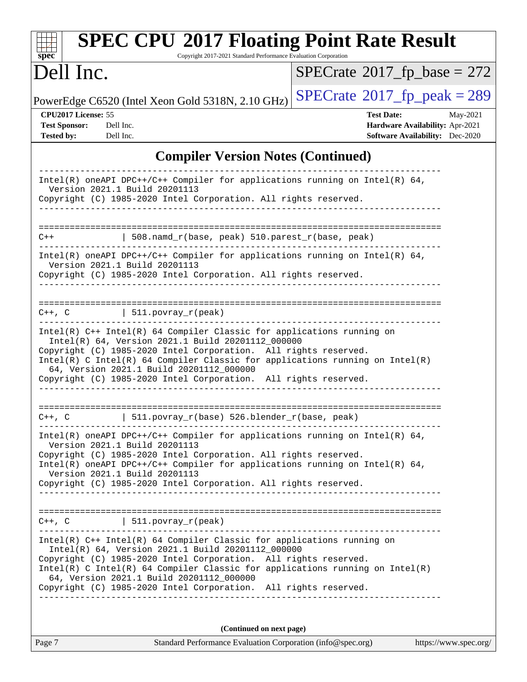| <b>SPEC CPU®2017 Floating Point Rate Result</b><br>Copyright 2017-2021 Standard Performance Evaluation Corporation<br>$spec^*$                                                                                                                                                                                                                                                                                  |                                                                                                     |
|-----------------------------------------------------------------------------------------------------------------------------------------------------------------------------------------------------------------------------------------------------------------------------------------------------------------------------------------------------------------------------------------------------------------|-----------------------------------------------------------------------------------------------------|
| Dell Inc.                                                                                                                                                                                                                                                                                                                                                                                                       | $SPECrate^{\circ}2017$ _fp_base = 272                                                               |
| PowerEdge C6520 (Intel Xeon Gold 5318N, 2.10 GHz)                                                                                                                                                                                                                                                                                                                                                               | $SPECTate@2017_fp\_peak = 289$                                                                      |
| CPU2017 License: 55<br><b>Test Sponsor:</b><br>Dell Inc.<br>Dell Inc.<br><b>Tested by:</b>                                                                                                                                                                                                                                                                                                                      | <b>Test Date:</b><br>May-2021<br>Hardware Availability: Apr-2021<br>Software Availability: Dec-2020 |
| <b>Compiler Version Notes (Continued)</b>                                                                                                                                                                                                                                                                                                                                                                       |                                                                                                     |
| $Intel(R)$ oneAPI DPC++/C++ Compiler for applications running on Intel(R) 64,<br>Version 2021.1 Build 20201113<br>Copyright (C) 1985-2020 Intel Corporation. All rights reserved.                                                                                                                                                                                                                               |                                                                                                     |
| 508.namd_r(base, peak) 510.parest_r(base, peak)<br>$C++$                                                                                                                                                                                                                                                                                                                                                        |                                                                                                     |
| Intel(R) oneAPI DPC++/C++ Compiler for applications running on Intel(R) $64$ ,<br>Version 2021.1 Build 20201113<br>Copyright (C) 1985-2020 Intel Corporation. All rights reserved.                                                                                                                                                                                                                              |                                                                                                     |
| $511. povray_r (peak)$<br>$C++$ , $C$                                                                                                                                                                                                                                                                                                                                                                           |                                                                                                     |
| Intel(R) C++ Intel(R) 64 Compiler Classic for applications running on<br>Intel(R) 64, Version 2021.1 Build 20201112_000000<br>Copyright (C) 1985-2020 Intel Corporation. All rights reserved.<br>Intel(R) C Intel(R) 64 Compiler Classic for applications running on $Intel(R)$<br>64, Version 2021.1 Build 20201112_000000<br>Copyright (C) 1985-2020 Intel Corporation. All rights reserved.                  |                                                                                                     |
| 511.povray_r(base) 526.blender_r(base, peak)<br>$C++$ , $C$                                                                                                                                                                                                                                                                                                                                                     |                                                                                                     |
| $Intel(R)$ oneAPI DPC++/C++ Compiler for applications running on Intel(R) 64,<br>Version 2021.1 Build 20201113<br>Copyright (C) 1985-2020 Intel Corporation. All rights reserved.<br>$Intel(R)$ oneAPI DPC++/C++ Compiler for applications running on Intel(R) 64,<br>Version 2021.1 Build 20201113<br>Copyright (C) 1985-2020 Intel Corporation. All rights reserved.<br>_____________________________________ |                                                                                                     |
| $C++$ , C $\qquad \qquad \vert$ 511.povray_r(peak)                                                                                                                                                                                                                                                                                                                                                              |                                                                                                     |
| $Intel(R)$ C++ Intel(R) 64 Compiler Classic for applications running on<br>Intel(R) 64, Version 2021.1 Build 20201112_000000<br>Copyright (C) 1985-2020 Intel Corporation. All rights reserved.<br>$Intel(R)$ C Intel(R) 64 Compiler Classic for applications running on Intel(R)<br>64, Version 2021.1 Build 20201112_000000<br>Copyright (C) 1985-2020 Intel Corporation. All rights reserved.                |                                                                                                     |
| (Continued on next page)                                                                                                                                                                                                                                                                                                                                                                                        |                                                                                                     |

| Page 7 | Standard Performance Evaluation Corporation (info@spec.org) | https://www.spec.org/ |
|--------|-------------------------------------------------------------|-----------------------|
|--------|-------------------------------------------------------------|-----------------------|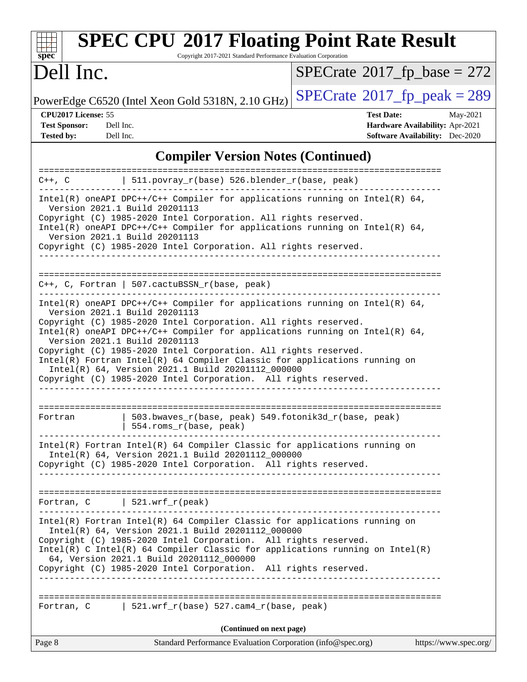|                                                                     |                                                                                                                                                                                                                                                                                                                                                                                                                                                                                                                                                                               | <b>SPEC CPU®2017 Floating Point Rate Result</b>                           |
|---------------------------------------------------------------------|-------------------------------------------------------------------------------------------------------------------------------------------------------------------------------------------------------------------------------------------------------------------------------------------------------------------------------------------------------------------------------------------------------------------------------------------------------------------------------------------------------------------------------------------------------------------------------|---------------------------------------------------------------------------|
| $\mathbf{Spec}^*$<br>Dell Inc.                                      | Copyright 2017-2021 Standard Performance Evaluation Corporation                                                                                                                                                                                                                                                                                                                                                                                                                                                                                                               | $SPECrate^{\circ}2017$ _fp_base = 272                                     |
|                                                                     | PowerEdge C6520 (Intel Xeon Gold 5318N, 2.10 GHz)                                                                                                                                                                                                                                                                                                                                                                                                                                                                                                                             | $SPECTate@2017fr peak = 289$                                              |
| CPU2017 License: 55                                                 |                                                                                                                                                                                                                                                                                                                                                                                                                                                                                                                                                                               | <b>Test Date:</b><br>May-2021                                             |
| <b>Test Sponsor:</b><br>Dell Inc.<br><b>Tested by:</b><br>Dell Inc. |                                                                                                                                                                                                                                                                                                                                                                                                                                                                                                                                                                               | Hardware Availability: Apr-2021<br><b>Software Availability:</b> Dec-2020 |
|                                                                     | <b>Compiler Version Notes (Continued)</b>                                                                                                                                                                                                                                                                                                                                                                                                                                                                                                                                     |                                                                           |
| ==================<br>C++, C                                        | 511.povray_r(base) 526.blender_r(base, peak)                                                                                                                                                                                                                                                                                                                                                                                                                                                                                                                                  |                                                                           |
|                                                                     | Intel(R) oneAPI DPC++/C++ Compiler for applications running on Intel(R) 64,                                                                                                                                                                                                                                                                                                                                                                                                                                                                                                   |                                                                           |
|                                                                     | Version 2021.1 Build 20201113<br>Copyright (C) 1985-2020 Intel Corporation. All rights reserved.<br>Intel(R) oneAPI DPC++/C++ Compiler for applications running on Intel(R) $64$ ,<br>Version 2021.1 Build 20201113<br>Copyright (C) 1985-2020 Intel Corporation. All rights reserved.                                                                                                                                                                                                                                                                                        |                                                                           |
|                                                                     | $C++$ , C, Fortran   507.cactuBSSN_r(base, peak)                                                                                                                                                                                                                                                                                                                                                                                                                                                                                                                              | ===================================                                       |
|                                                                     | Intel(R) oneAPI DPC++/C++ Compiler for applications running on Intel(R) $64$ ,<br>Version 2021.1 Build 20201113<br>Copyright (C) 1985-2020 Intel Corporation. All rights reserved.<br>Intel(R) oneAPI DPC++/C++ Compiler for applications running on Intel(R) $64$ ,<br>Version 2021.1 Build 20201113<br>Copyright (C) 1985-2020 Intel Corporation. All rights reserved.<br>Intel(R) Fortran Intel(R) 64 Compiler Classic for applications running on<br>Intel(R) 64, Version 2021.1 Build 20201112_000000<br>Copyright (C) 1985-2020 Intel Corporation. All rights reserved. |                                                                           |
| Fortran                                                             | 503.bwaves_r(base, peak) 549.fotonik3d_r(base, peak)<br>554.roms_r(base, peak)                                                                                                                                                                                                                                                                                                                                                                                                                                                                                                |                                                                           |
|                                                                     | Intel(R) Fortran Intel(R) 64 Compiler Classic for applications running on<br>Intel(R) 64, Version 2021.1 Build 20201112_000000<br>Copyright (C) 1985-2020 Intel Corporation. All rights reserved.                                                                                                                                                                                                                                                                                                                                                                             |                                                                           |
|                                                                     | Fortran, $C$   521.wrf_r(peak)                                                                                                                                                                                                                                                                                                                                                                                                                                                                                                                                                |                                                                           |
|                                                                     | Intel(R) Fortran Intel(R) 64 Compiler Classic for applications running on<br>Intel(R) 64, Version 2021.1 Build 20201112_000000<br>Copyright (C) 1985-2020 Intel Corporation. All rights reserved.<br>Intel(R) C Intel(R) 64 Compiler Classic for applications running on Intel(R)<br>64, Version 2021.1 Build 20201112_000000<br>Copyright (C) 1985-2020 Intel Corporation. All rights reserved.                                                                                                                                                                              |                                                                           |
|                                                                     | Fortran, C   521.wrf_r(base) 527.cam4_r(base, peak)                                                                                                                                                                                                                                                                                                                                                                                                                                                                                                                           |                                                                           |
|                                                                     | (Continued on next page)                                                                                                                                                                                                                                                                                                                                                                                                                                                                                                                                                      |                                                                           |
| Page 8                                                              | Standard Performance Evaluation Corporation (info@spec.org)                                                                                                                                                                                                                                                                                                                                                                                                                                                                                                                   | https://www.spec.org/                                                     |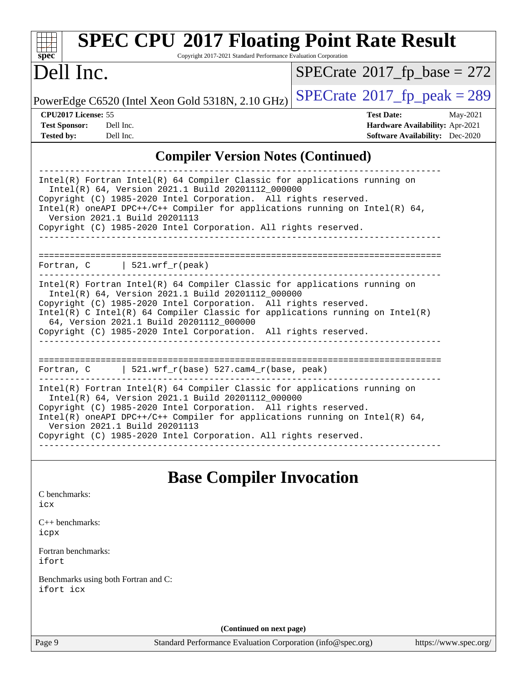| spec <sup>®</sup>                                                | <b>SPEC CPU®2017 Floating Point Rate Result</b>                                                                                                                                                                                                                                                                                                                                                  | Copyright 2017-2021 Standard Performance Evaluation Corporation |                                                             |                                                                                                            |
|------------------------------------------------------------------|--------------------------------------------------------------------------------------------------------------------------------------------------------------------------------------------------------------------------------------------------------------------------------------------------------------------------------------------------------------------------------------------------|-----------------------------------------------------------------|-------------------------------------------------------------|------------------------------------------------------------------------------------------------------------|
| Dell Inc.                                                        |                                                                                                                                                                                                                                                                                                                                                                                                  |                                                                 |                                                             | $SPECrate^{\circ}2017$ fp base = 272                                                                       |
|                                                                  | PowerEdge C6520 (Intel Xeon Gold 5318N, 2.10 GHz)                                                                                                                                                                                                                                                                                                                                                |                                                                 |                                                             | $SPECTate@2017fr peak = 289$                                                                               |
| CPU2017 License: 55<br><b>Test Sponsor:</b><br><b>Tested by:</b> | Dell Inc.<br>Dell Inc.                                                                                                                                                                                                                                                                                                                                                                           |                                                                 |                                                             | <b>Test Date:</b><br>May-2021<br>Hardware Availability: Apr-2021<br><b>Software Availability:</b> Dec-2020 |
|                                                                  |                                                                                                                                                                                                                                                                                                                                                                                                  |                                                                 | <b>Compiler Version Notes (Continued)</b>                   |                                                                                                            |
|                                                                  | Intel(R) Fortran Intel(R) 64 Compiler Classic for applications running on<br>Intel(R) 64, Version 2021.1 Build 20201112_000000<br>Copyright (C) 1985-2020 Intel Corporation. All rights reserved.<br>Intel(R) oneAPI DPC++/C++ Compiler for applications running on Intel(R) 64,<br>Version 2021.1 Build 20201113<br>Copyright (C) 1985-2020 Intel Corporation. All rights reserved.             |                                                                 |                                                             |                                                                                                            |
|                                                                  | Fortran, $C$   521.wrf_r(peak)                                                                                                                                                                                                                                                                                                                                                                   |                                                                 |                                                             |                                                                                                            |
|                                                                  | Intel(R) Fortran Intel(R) 64 Compiler Classic for applications running on<br>Intel(R) 64, Version 2021.1 Build 20201112_000000<br>Copyright (C) 1985-2020 Intel Corporation. All rights reserved.<br>Intel(R) C Intel(R) 64 Compiler Classic for applications running on Intel(R)<br>64, Version 2021.1 Build 20201112_000000<br>Copyright (C) 1985-2020 Intel Corporation. All rights reserved. |                                                                 |                                                             |                                                                                                            |
|                                                                  | Fortran, C $\vert$ 521.wrf_r(base) 527.cam4_r(base, peak)                                                                                                                                                                                                                                                                                                                                        |                                                                 |                                                             |                                                                                                            |
|                                                                  | Intel(R) Fortran Intel(R) 64 Compiler Classic for applications running on<br>Intel(R) 64, Version 2021.1 Build 20201112_000000<br>Copyright (C) 1985-2020 Intel Corporation. All rights reserved.<br>Intel(R) oneAPI DPC++/C++ Compiler for applications running on Intel(R) 64,<br>Version 2021.1 Build 20201113<br>Copyright (C) 1985-2020 Intel Corporation. All rights reserved.             |                                                                 |                                                             |                                                                                                            |
| C benchmarks:<br>icx                                             |                                                                                                                                                                                                                                                                                                                                                                                                  | <b>Base Compiler Invocation</b>                                 |                                                             |                                                                                                            |
| $C_{++}$ benchmarks:<br>icpx                                     |                                                                                                                                                                                                                                                                                                                                                                                                  |                                                                 |                                                             |                                                                                                            |
| Fortran benchmarks:<br>ifort                                     |                                                                                                                                                                                                                                                                                                                                                                                                  |                                                                 |                                                             |                                                                                                            |
| ifort icx                                                        | Benchmarks using both Fortran and C:                                                                                                                                                                                                                                                                                                                                                             |                                                                 |                                                             |                                                                                                            |
|                                                                  |                                                                                                                                                                                                                                                                                                                                                                                                  | (Continued on next page)                                        |                                                             |                                                                                                            |
| Page 9                                                           |                                                                                                                                                                                                                                                                                                                                                                                                  |                                                                 | Standard Performance Evaluation Corporation (info@spec.org) | https://www.spec.org/                                                                                      |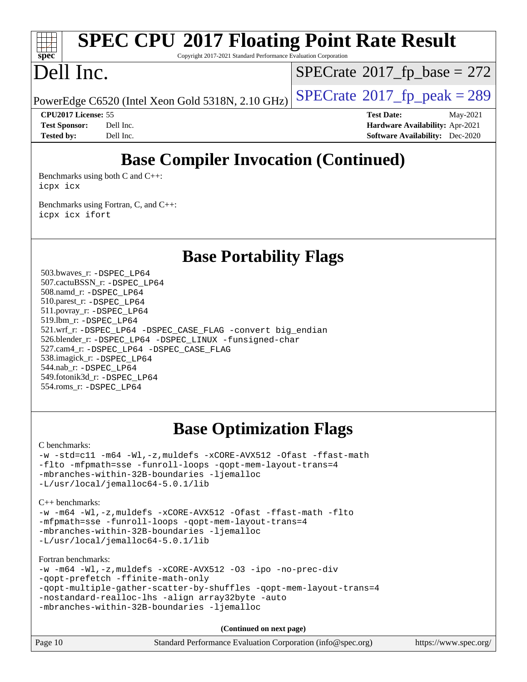# **[spec](http://www.spec.org/)**

# **[SPEC CPU](http://www.spec.org/auto/cpu2017/Docs/result-fields.html#SPECCPU2017FloatingPointRateResult)[2017 Floating Point Rate Result](http://www.spec.org/auto/cpu2017/Docs/result-fields.html#SPECCPU2017FloatingPointRateResult)**

Copyright 2017-2021 Standard Performance Evaluation Corporation

# Dell Inc.

 $SPECTate$ <sup>®</sup>[2017\\_fp\\_base =](http://www.spec.org/auto/cpu2017/Docs/result-fields.html#SPECrate2017fpbase) 272

PowerEdge C6520 (Intel Xeon Gold 5318N, 2.10 GHz)  $\left|$  [SPECrate](http://www.spec.org/auto/cpu2017/Docs/result-fields.html#SPECrate2017fppeak)<sup>®</sup>[2017\\_fp\\_peak = 2](http://www.spec.org/auto/cpu2017/Docs/result-fields.html#SPECrate2017fppeak)89

**[CPU2017 License:](http://www.spec.org/auto/cpu2017/Docs/result-fields.html#CPU2017License)** 55 **[Test Date:](http://www.spec.org/auto/cpu2017/Docs/result-fields.html#TestDate)** May-2021 **[Test Sponsor:](http://www.spec.org/auto/cpu2017/Docs/result-fields.html#TestSponsor)** Dell Inc. **[Hardware Availability:](http://www.spec.org/auto/cpu2017/Docs/result-fields.html#HardwareAvailability)** Apr-2021 **[Tested by:](http://www.spec.org/auto/cpu2017/Docs/result-fields.html#Testedby)** Dell Inc. **[Software Availability:](http://www.spec.org/auto/cpu2017/Docs/result-fields.html#SoftwareAvailability)** Dec-2020

# **[Base Compiler Invocation \(Continued\)](http://www.spec.org/auto/cpu2017/Docs/result-fields.html#BaseCompilerInvocation)**

[Benchmarks using both C and C++](http://www.spec.org/auto/cpu2017/Docs/result-fields.html#BenchmarksusingbothCandCXX): [icpx](http://www.spec.org/cpu2017/results/res2021q3/cpu2017-20210621-27628.flags.html#user_CC_CXXbase_intel_icpx_1e918ed14c436bf4b9b7c8bcdd51d4539fc71b3df010bd1e9f8732d9c34c2b2914e48204a846820f3c0ebb4095dea797a5c30b458ac0b6dffac65d78f781f5ca) [icx](http://www.spec.org/cpu2017/results/res2021q3/cpu2017-20210621-27628.flags.html#user_CC_CXXbase_intel_icx_fe2d28d19ae2a5db7c42fe0f2a2aed77cb715edd4aeb23434404a8be6683fe239869bb6ca8154ca98265c2e3b9226a719a0efe2953a4a7018c379b7010ccf087)

[Benchmarks using Fortran, C, and C++:](http://www.spec.org/auto/cpu2017/Docs/result-fields.html#BenchmarksusingFortranCandCXX) [icpx](http://www.spec.org/cpu2017/results/res2021q3/cpu2017-20210621-27628.flags.html#user_CC_CXX_FCbase_intel_icpx_1e918ed14c436bf4b9b7c8bcdd51d4539fc71b3df010bd1e9f8732d9c34c2b2914e48204a846820f3c0ebb4095dea797a5c30b458ac0b6dffac65d78f781f5ca) [icx](http://www.spec.org/cpu2017/results/res2021q3/cpu2017-20210621-27628.flags.html#user_CC_CXX_FCbase_intel_icx_fe2d28d19ae2a5db7c42fe0f2a2aed77cb715edd4aeb23434404a8be6683fe239869bb6ca8154ca98265c2e3b9226a719a0efe2953a4a7018c379b7010ccf087) [ifort](http://www.spec.org/cpu2017/results/res2021q3/cpu2017-20210621-27628.flags.html#user_CC_CXX_FCbase_intel_ifort_8111460550e3ca792625aed983ce982f94888b8b503583aa7ba2b8303487b4d8a21a13e7191a45c5fd58ff318f48f9492884d4413fa793fd88dd292cad7027ca)

**[Base Portability Flags](http://www.spec.org/auto/cpu2017/Docs/result-fields.html#BasePortabilityFlags)**

 503.bwaves\_r: [-DSPEC\\_LP64](http://www.spec.org/cpu2017/results/res2021q3/cpu2017-20210621-27628.flags.html#suite_basePORTABILITY503_bwaves_r_DSPEC_LP64) 507.cactuBSSN\_r: [-DSPEC\\_LP64](http://www.spec.org/cpu2017/results/res2021q3/cpu2017-20210621-27628.flags.html#suite_basePORTABILITY507_cactuBSSN_r_DSPEC_LP64) 508.namd\_r: [-DSPEC\\_LP64](http://www.spec.org/cpu2017/results/res2021q3/cpu2017-20210621-27628.flags.html#suite_basePORTABILITY508_namd_r_DSPEC_LP64) 510.parest\_r: [-DSPEC\\_LP64](http://www.spec.org/cpu2017/results/res2021q3/cpu2017-20210621-27628.flags.html#suite_basePORTABILITY510_parest_r_DSPEC_LP64) 511.povray\_r: [-DSPEC\\_LP64](http://www.spec.org/cpu2017/results/res2021q3/cpu2017-20210621-27628.flags.html#suite_basePORTABILITY511_povray_r_DSPEC_LP64) 519.lbm\_r: [-DSPEC\\_LP64](http://www.spec.org/cpu2017/results/res2021q3/cpu2017-20210621-27628.flags.html#suite_basePORTABILITY519_lbm_r_DSPEC_LP64) 521.wrf\_r: [-DSPEC\\_LP64](http://www.spec.org/cpu2017/results/res2021q3/cpu2017-20210621-27628.flags.html#suite_basePORTABILITY521_wrf_r_DSPEC_LP64) [-DSPEC\\_CASE\\_FLAG](http://www.spec.org/cpu2017/results/res2021q3/cpu2017-20210621-27628.flags.html#b521.wrf_r_baseCPORTABILITY_DSPEC_CASE_FLAG) [-convert big\\_endian](http://www.spec.org/cpu2017/results/res2021q3/cpu2017-20210621-27628.flags.html#user_baseFPORTABILITY521_wrf_r_convert_big_endian_c3194028bc08c63ac5d04de18c48ce6d347e4e562e8892b8bdbdc0214820426deb8554edfa529a3fb25a586e65a3d812c835984020483e7e73212c4d31a38223) 526.blender\_r: [-DSPEC\\_LP64](http://www.spec.org/cpu2017/results/res2021q3/cpu2017-20210621-27628.flags.html#suite_basePORTABILITY526_blender_r_DSPEC_LP64) [-DSPEC\\_LINUX](http://www.spec.org/cpu2017/results/res2021q3/cpu2017-20210621-27628.flags.html#b526.blender_r_baseCPORTABILITY_DSPEC_LINUX) [-funsigned-char](http://www.spec.org/cpu2017/results/res2021q3/cpu2017-20210621-27628.flags.html#user_baseCPORTABILITY526_blender_r_force_uchar_40c60f00ab013830e2dd6774aeded3ff59883ba5a1fc5fc14077f794d777847726e2a5858cbc7672e36e1b067e7e5c1d9a74f7176df07886a243d7cc18edfe67) 527.cam4\_r: [-DSPEC\\_LP64](http://www.spec.org/cpu2017/results/res2021q3/cpu2017-20210621-27628.flags.html#suite_basePORTABILITY527_cam4_r_DSPEC_LP64) [-DSPEC\\_CASE\\_FLAG](http://www.spec.org/cpu2017/results/res2021q3/cpu2017-20210621-27628.flags.html#b527.cam4_r_baseCPORTABILITY_DSPEC_CASE_FLAG) 538.imagick\_r: [-DSPEC\\_LP64](http://www.spec.org/cpu2017/results/res2021q3/cpu2017-20210621-27628.flags.html#suite_basePORTABILITY538_imagick_r_DSPEC_LP64) 544.nab\_r: [-DSPEC\\_LP64](http://www.spec.org/cpu2017/results/res2021q3/cpu2017-20210621-27628.flags.html#suite_basePORTABILITY544_nab_r_DSPEC_LP64) 549.fotonik3d\_r: [-DSPEC\\_LP64](http://www.spec.org/cpu2017/results/res2021q3/cpu2017-20210621-27628.flags.html#suite_basePORTABILITY549_fotonik3d_r_DSPEC_LP64) 554.roms\_r: [-DSPEC\\_LP64](http://www.spec.org/cpu2017/results/res2021q3/cpu2017-20210621-27628.flags.html#suite_basePORTABILITY554_roms_r_DSPEC_LP64)

## **[Base Optimization Flags](http://www.spec.org/auto/cpu2017/Docs/result-fields.html#BaseOptimizationFlags)**

[C benchmarks](http://www.spec.org/auto/cpu2017/Docs/result-fields.html#Cbenchmarks):

[-w](http://www.spec.org/cpu2017/results/res2021q3/cpu2017-20210621-27628.flags.html#user_CCbase_supress_warning_66fb2c4e5c1dd10f38bdd29623979399e5ae75ae6e5453792d82ef66afed381df4a8602f92cac8d2ea0fffa7b93b4b1ccb9ecad4af01c9b2fe338b2082ae3859) [-std=c11](http://www.spec.org/cpu2017/results/res2021q3/cpu2017-20210621-27628.flags.html#user_CCbase_std-icc-std_0e1c27790398a4642dfca32ffe6c27b5796f9c2d2676156f2e42c9c44eaad0c049b1cdb667a270c34d979996257aeb8fc440bfb01818dbc9357bd9d174cb8524) [-m64](http://www.spec.org/cpu2017/results/res2021q3/cpu2017-20210621-27628.flags.html#user_CCbase_m64-icc) [-Wl,-z,muldefs](http://www.spec.org/cpu2017/results/res2021q3/cpu2017-20210621-27628.flags.html#user_CCbase_link_force_multiple1_b4cbdb97b34bdee9ceefcfe54f4c8ea74255f0b02a4b23e853cdb0e18eb4525ac79b5a88067c842dd0ee6996c24547a27a4b99331201badda8798ef8a743f577) [-xCORE-AVX512](http://www.spec.org/cpu2017/results/res2021q3/cpu2017-20210621-27628.flags.html#user_CCbase_f-xCORE-AVX512) [-Ofast](http://www.spec.org/cpu2017/results/res2021q3/cpu2017-20210621-27628.flags.html#user_CCbase_f-Ofast) [-ffast-math](http://www.spec.org/cpu2017/results/res2021q3/cpu2017-20210621-27628.flags.html#user_CCbase_f-ffast-math) [-flto](http://www.spec.org/cpu2017/results/res2021q3/cpu2017-20210621-27628.flags.html#user_CCbase_f-flto) [-mfpmath=sse](http://www.spec.org/cpu2017/results/res2021q3/cpu2017-20210621-27628.flags.html#user_CCbase_f-mfpmath_70eb8fac26bde974f8ab713bc9086c5621c0b8d2f6c86f38af0bd7062540daf19db5f3a066d8c6684be05d84c9b6322eb3b5be6619d967835195b93d6c02afa1) [-funroll-loops](http://www.spec.org/cpu2017/results/res2021q3/cpu2017-20210621-27628.flags.html#user_CCbase_f-funroll-loops) [-qopt-mem-layout-trans=4](http://www.spec.org/cpu2017/results/res2021q3/cpu2017-20210621-27628.flags.html#user_CCbase_f-qopt-mem-layout-trans_fa39e755916c150a61361b7846f310bcdf6f04e385ef281cadf3647acec3f0ae266d1a1d22d972a7087a248fd4e6ca390a3634700869573d231a252c784941a8) [-mbranches-within-32B-boundaries](http://www.spec.org/cpu2017/results/res2021q3/cpu2017-20210621-27628.flags.html#user_CCbase_f-mbranches-within-32B-boundaries) [-ljemalloc](http://www.spec.org/cpu2017/results/res2021q3/cpu2017-20210621-27628.flags.html#user_CCbase_jemalloc_link_lib_d1249b907c500fa1c0672f44f562e3d0f79738ae9e3c4a9c376d49f265a04b9c99b167ecedbf6711b3085be911c67ff61f150a17b3472be731631ba4d0471706) [-L/usr/local/jemalloc64-5.0.1/lib](http://www.spec.org/cpu2017/results/res2021q3/cpu2017-20210621-27628.flags.html#user_CCbase_jemalloc_link_path64_1_cc289568b1a6c0fd3b62c91b824c27fcb5af5e8098e6ad028160d21144ef1b8aef3170d2acf0bee98a8da324cfe4f67d0a3d0c4cc4673d993d694dc2a0df248b)

[C++ benchmarks:](http://www.spec.org/auto/cpu2017/Docs/result-fields.html#CXXbenchmarks)

[-w](http://www.spec.org/cpu2017/results/res2021q3/cpu2017-20210621-27628.flags.html#user_CXXbase_supress_warning_66fb2c4e5c1dd10f38bdd29623979399e5ae75ae6e5453792d82ef66afed381df4a8602f92cac8d2ea0fffa7b93b4b1ccb9ecad4af01c9b2fe338b2082ae3859) [-m64](http://www.spec.org/cpu2017/results/res2021q3/cpu2017-20210621-27628.flags.html#user_CXXbase_m64-icc) [-Wl,-z,muldefs](http://www.spec.org/cpu2017/results/res2021q3/cpu2017-20210621-27628.flags.html#user_CXXbase_link_force_multiple1_b4cbdb97b34bdee9ceefcfe54f4c8ea74255f0b02a4b23e853cdb0e18eb4525ac79b5a88067c842dd0ee6996c24547a27a4b99331201badda8798ef8a743f577) [-xCORE-AVX512](http://www.spec.org/cpu2017/results/res2021q3/cpu2017-20210621-27628.flags.html#user_CXXbase_f-xCORE-AVX512) [-Ofast](http://www.spec.org/cpu2017/results/res2021q3/cpu2017-20210621-27628.flags.html#user_CXXbase_f-Ofast) [-ffast-math](http://www.spec.org/cpu2017/results/res2021q3/cpu2017-20210621-27628.flags.html#user_CXXbase_f-ffast-math) [-flto](http://www.spec.org/cpu2017/results/res2021q3/cpu2017-20210621-27628.flags.html#user_CXXbase_f-flto) [-mfpmath=sse](http://www.spec.org/cpu2017/results/res2021q3/cpu2017-20210621-27628.flags.html#user_CXXbase_f-mfpmath_70eb8fac26bde974f8ab713bc9086c5621c0b8d2f6c86f38af0bd7062540daf19db5f3a066d8c6684be05d84c9b6322eb3b5be6619d967835195b93d6c02afa1) [-funroll-loops](http://www.spec.org/cpu2017/results/res2021q3/cpu2017-20210621-27628.flags.html#user_CXXbase_f-funroll-loops) [-qopt-mem-layout-trans=4](http://www.spec.org/cpu2017/results/res2021q3/cpu2017-20210621-27628.flags.html#user_CXXbase_f-qopt-mem-layout-trans_fa39e755916c150a61361b7846f310bcdf6f04e385ef281cadf3647acec3f0ae266d1a1d22d972a7087a248fd4e6ca390a3634700869573d231a252c784941a8) [-mbranches-within-32B-boundaries](http://www.spec.org/cpu2017/results/res2021q3/cpu2017-20210621-27628.flags.html#user_CXXbase_f-mbranches-within-32B-boundaries) [-ljemalloc](http://www.spec.org/cpu2017/results/res2021q3/cpu2017-20210621-27628.flags.html#user_CXXbase_jemalloc_link_lib_d1249b907c500fa1c0672f44f562e3d0f79738ae9e3c4a9c376d49f265a04b9c99b167ecedbf6711b3085be911c67ff61f150a17b3472be731631ba4d0471706) [-L/usr/local/jemalloc64-5.0.1/lib](http://www.spec.org/cpu2017/results/res2021q3/cpu2017-20210621-27628.flags.html#user_CXXbase_jemalloc_link_path64_1_cc289568b1a6c0fd3b62c91b824c27fcb5af5e8098e6ad028160d21144ef1b8aef3170d2acf0bee98a8da324cfe4f67d0a3d0c4cc4673d993d694dc2a0df248b)

[Fortran benchmarks](http://www.spec.org/auto/cpu2017/Docs/result-fields.html#Fortranbenchmarks):

```
-w -m64 -Wl,-z,muldefs -xCORE-AVX512 -O3 -ipo -no-prec-div
-qopt-prefetch -ffinite-math-only
-qopt-multiple-gather-scatter-by-shuffles -qopt-mem-layout-trans=4
-nostandard-realloc-lhs -align array32byte -auto
-mbranches-within-32B-boundaries -ljemalloc
```
**(Continued on next page)**

| Page 10 | Standard Performance Evaluation Corporation (info@spec.org) | https://www.spec.org/ |
|---------|-------------------------------------------------------------|-----------------------|
|---------|-------------------------------------------------------------|-----------------------|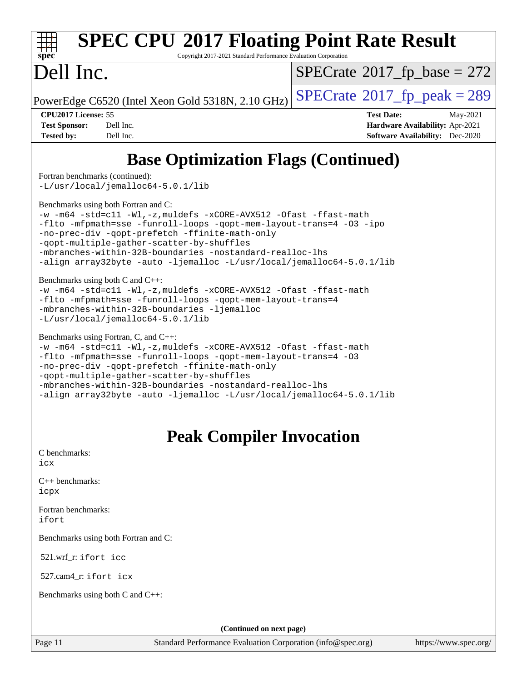

# **[SPEC CPU](http://www.spec.org/auto/cpu2017/Docs/result-fields.html#SPECCPU2017FloatingPointRateResult)[2017 Floating Point Rate Result](http://www.spec.org/auto/cpu2017/Docs/result-fields.html#SPECCPU2017FloatingPointRateResult)**

Copyright 2017-2021 Standard Performance Evaluation Corporation

# Dell Inc.

 $SPECTate$ <sup>®</sup>[2017\\_fp\\_base =](http://www.spec.org/auto/cpu2017/Docs/result-fields.html#SPECrate2017fpbase) 272

PowerEdge C6520 (Intel Xeon Gold 5318N, 2.10 GHz)  $\left|$  [SPECrate](http://www.spec.org/auto/cpu2017/Docs/result-fields.html#SPECrate2017fppeak)®[2017\\_fp\\_peak = 2](http://www.spec.org/auto/cpu2017/Docs/result-fields.html#SPECrate2017fppeak)89

**[CPU2017 License:](http://www.spec.org/auto/cpu2017/Docs/result-fields.html#CPU2017License)** 55 **[Test Date:](http://www.spec.org/auto/cpu2017/Docs/result-fields.html#TestDate)** May-2021 **[Test Sponsor:](http://www.spec.org/auto/cpu2017/Docs/result-fields.html#TestSponsor)** Dell Inc. **[Hardware Availability:](http://www.spec.org/auto/cpu2017/Docs/result-fields.html#HardwareAvailability)** Apr-2021 **[Tested by:](http://www.spec.org/auto/cpu2017/Docs/result-fields.html#Testedby)** Dell Inc. **[Software Availability:](http://www.spec.org/auto/cpu2017/Docs/result-fields.html#SoftwareAvailability)** Dec-2020

# **[Base Optimization Flags \(Continued\)](http://www.spec.org/auto/cpu2017/Docs/result-fields.html#BaseOptimizationFlags)**

[Fortran benchmarks](http://www.spec.org/auto/cpu2017/Docs/result-fields.html#Fortranbenchmarks) (continued):

[-L/usr/local/jemalloc64-5.0.1/lib](http://www.spec.org/cpu2017/results/res2021q3/cpu2017-20210621-27628.flags.html#user_FCbase_jemalloc_link_path64_1_cc289568b1a6c0fd3b62c91b824c27fcb5af5e8098e6ad028160d21144ef1b8aef3170d2acf0bee98a8da324cfe4f67d0a3d0c4cc4673d993d694dc2a0df248b)

[Benchmarks using both Fortran and C](http://www.spec.org/auto/cpu2017/Docs/result-fields.html#BenchmarksusingbothFortranandC):

[-w](http://www.spec.org/cpu2017/results/res2021q3/cpu2017-20210621-27628.flags.html#user_CC_FCbase_supress_warning_66fb2c4e5c1dd10f38bdd29623979399e5ae75ae6e5453792d82ef66afed381df4a8602f92cac8d2ea0fffa7b93b4b1ccb9ecad4af01c9b2fe338b2082ae3859) [-m64](http://www.spec.org/cpu2017/results/res2021q3/cpu2017-20210621-27628.flags.html#user_CC_FCbase_m64-icc) [-std=c11](http://www.spec.org/cpu2017/results/res2021q3/cpu2017-20210621-27628.flags.html#user_CC_FCbase_std-icc-std_0e1c27790398a4642dfca32ffe6c27b5796f9c2d2676156f2e42c9c44eaad0c049b1cdb667a270c34d979996257aeb8fc440bfb01818dbc9357bd9d174cb8524) [-Wl,-z,muldefs](http://www.spec.org/cpu2017/results/res2021q3/cpu2017-20210621-27628.flags.html#user_CC_FCbase_link_force_multiple1_b4cbdb97b34bdee9ceefcfe54f4c8ea74255f0b02a4b23e853cdb0e18eb4525ac79b5a88067c842dd0ee6996c24547a27a4b99331201badda8798ef8a743f577) [-xCORE-AVX512](http://www.spec.org/cpu2017/results/res2021q3/cpu2017-20210621-27628.flags.html#user_CC_FCbase_f-xCORE-AVX512) [-Ofast](http://www.spec.org/cpu2017/results/res2021q3/cpu2017-20210621-27628.flags.html#user_CC_FCbase_f-Ofast) [-ffast-math](http://www.spec.org/cpu2017/results/res2021q3/cpu2017-20210621-27628.flags.html#user_CC_FCbase_f-ffast-math) [-flto](http://www.spec.org/cpu2017/results/res2021q3/cpu2017-20210621-27628.flags.html#user_CC_FCbase_f-flto) [-mfpmath=sse](http://www.spec.org/cpu2017/results/res2021q3/cpu2017-20210621-27628.flags.html#user_CC_FCbase_f-mfpmath_70eb8fac26bde974f8ab713bc9086c5621c0b8d2f6c86f38af0bd7062540daf19db5f3a066d8c6684be05d84c9b6322eb3b5be6619d967835195b93d6c02afa1) [-funroll-loops](http://www.spec.org/cpu2017/results/res2021q3/cpu2017-20210621-27628.flags.html#user_CC_FCbase_f-funroll-loops) [-qopt-mem-layout-trans=4](http://www.spec.org/cpu2017/results/res2021q3/cpu2017-20210621-27628.flags.html#user_CC_FCbase_f-qopt-mem-layout-trans_fa39e755916c150a61361b7846f310bcdf6f04e385ef281cadf3647acec3f0ae266d1a1d22d972a7087a248fd4e6ca390a3634700869573d231a252c784941a8) [-O3](http://www.spec.org/cpu2017/results/res2021q3/cpu2017-20210621-27628.flags.html#user_CC_FCbase_f-O3) [-ipo](http://www.spec.org/cpu2017/results/res2021q3/cpu2017-20210621-27628.flags.html#user_CC_FCbase_f-ipo) [-no-prec-div](http://www.spec.org/cpu2017/results/res2021q3/cpu2017-20210621-27628.flags.html#user_CC_FCbase_f-no-prec-div) [-qopt-prefetch](http://www.spec.org/cpu2017/results/res2021q3/cpu2017-20210621-27628.flags.html#user_CC_FCbase_f-qopt-prefetch) [-ffinite-math-only](http://www.spec.org/cpu2017/results/res2021q3/cpu2017-20210621-27628.flags.html#user_CC_FCbase_f_finite_math_only_cb91587bd2077682c4b38af759c288ed7c732db004271a9512da14a4f8007909a5f1427ecbf1a0fb78ff2a814402c6114ac565ca162485bbcae155b5e4258871) [-qopt-multiple-gather-scatter-by-shuffles](http://www.spec.org/cpu2017/results/res2021q3/cpu2017-20210621-27628.flags.html#user_CC_FCbase_f-qopt-multiple-gather-scatter-by-shuffles) [-mbranches-within-32B-boundaries](http://www.spec.org/cpu2017/results/res2021q3/cpu2017-20210621-27628.flags.html#user_CC_FCbase_f-mbranches-within-32B-boundaries) [-nostandard-realloc-lhs](http://www.spec.org/cpu2017/results/res2021q3/cpu2017-20210621-27628.flags.html#user_CC_FCbase_f_2003_std_realloc_82b4557e90729c0f113870c07e44d33d6f5a304b4f63d4c15d2d0f1fab99f5daaed73bdb9275d9ae411527f28b936061aa8b9c8f2d63842963b95c9dd6426b8a) [-align array32byte](http://www.spec.org/cpu2017/results/res2021q3/cpu2017-20210621-27628.flags.html#user_CC_FCbase_align_array32byte_b982fe038af199962ba9a80c053b8342c548c85b40b8e86eb3cc33dee0d7986a4af373ac2d51c3f7cf710a18d62fdce2948f201cd044323541f22fc0fffc51b6) [-auto](http://www.spec.org/cpu2017/results/res2021q3/cpu2017-20210621-27628.flags.html#user_CC_FCbase_f-auto) [-ljemalloc](http://www.spec.org/cpu2017/results/res2021q3/cpu2017-20210621-27628.flags.html#user_CC_FCbase_jemalloc_link_lib_d1249b907c500fa1c0672f44f562e3d0f79738ae9e3c4a9c376d49f265a04b9c99b167ecedbf6711b3085be911c67ff61f150a17b3472be731631ba4d0471706) [-L/usr/local/jemalloc64-5.0.1/lib](http://www.spec.org/cpu2017/results/res2021q3/cpu2017-20210621-27628.flags.html#user_CC_FCbase_jemalloc_link_path64_1_cc289568b1a6c0fd3b62c91b824c27fcb5af5e8098e6ad028160d21144ef1b8aef3170d2acf0bee98a8da324cfe4f67d0a3d0c4cc4673d993d694dc2a0df248b)

[Benchmarks using both C and C++](http://www.spec.org/auto/cpu2017/Docs/result-fields.html#BenchmarksusingbothCandCXX):

[-w](http://www.spec.org/cpu2017/results/res2021q3/cpu2017-20210621-27628.flags.html#user_CC_CXXbase_supress_warning_66fb2c4e5c1dd10f38bdd29623979399e5ae75ae6e5453792d82ef66afed381df4a8602f92cac8d2ea0fffa7b93b4b1ccb9ecad4af01c9b2fe338b2082ae3859) [-m64](http://www.spec.org/cpu2017/results/res2021q3/cpu2017-20210621-27628.flags.html#user_CC_CXXbase_m64-icc) [-std=c11](http://www.spec.org/cpu2017/results/res2021q3/cpu2017-20210621-27628.flags.html#user_CC_CXXbase_std-icc-std_0e1c27790398a4642dfca32ffe6c27b5796f9c2d2676156f2e42c9c44eaad0c049b1cdb667a270c34d979996257aeb8fc440bfb01818dbc9357bd9d174cb8524) [-Wl,-z,muldefs](http://www.spec.org/cpu2017/results/res2021q3/cpu2017-20210621-27628.flags.html#user_CC_CXXbase_link_force_multiple1_b4cbdb97b34bdee9ceefcfe54f4c8ea74255f0b02a4b23e853cdb0e18eb4525ac79b5a88067c842dd0ee6996c24547a27a4b99331201badda8798ef8a743f577) [-xCORE-AVX512](http://www.spec.org/cpu2017/results/res2021q3/cpu2017-20210621-27628.flags.html#user_CC_CXXbase_f-xCORE-AVX512) [-Ofast](http://www.spec.org/cpu2017/results/res2021q3/cpu2017-20210621-27628.flags.html#user_CC_CXXbase_f-Ofast) [-ffast-math](http://www.spec.org/cpu2017/results/res2021q3/cpu2017-20210621-27628.flags.html#user_CC_CXXbase_f-ffast-math) [-flto](http://www.spec.org/cpu2017/results/res2021q3/cpu2017-20210621-27628.flags.html#user_CC_CXXbase_f-flto) [-mfpmath=sse](http://www.spec.org/cpu2017/results/res2021q3/cpu2017-20210621-27628.flags.html#user_CC_CXXbase_f-mfpmath_70eb8fac26bde974f8ab713bc9086c5621c0b8d2f6c86f38af0bd7062540daf19db5f3a066d8c6684be05d84c9b6322eb3b5be6619d967835195b93d6c02afa1) [-funroll-loops](http://www.spec.org/cpu2017/results/res2021q3/cpu2017-20210621-27628.flags.html#user_CC_CXXbase_f-funroll-loops) [-qopt-mem-layout-trans=4](http://www.spec.org/cpu2017/results/res2021q3/cpu2017-20210621-27628.flags.html#user_CC_CXXbase_f-qopt-mem-layout-trans_fa39e755916c150a61361b7846f310bcdf6f04e385ef281cadf3647acec3f0ae266d1a1d22d972a7087a248fd4e6ca390a3634700869573d231a252c784941a8) [-mbranches-within-32B-boundaries](http://www.spec.org/cpu2017/results/res2021q3/cpu2017-20210621-27628.flags.html#user_CC_CXXbase_f-mbranches-within-32B-boundaries) [-ljemalloc](http://www.spec.org/cpu2017/results/res2021q3/cpu2017-20210621-27628.flags.html#user_CC_CXXbase_jemalloc_link_lib_d1249b907c500fa1c0672f44f562e3d0f79738ae9e3c4a9c376d49f265a04b9c99b167ecedbf6711b3085be911c67ff61f150a17b3472be731631ba4d0471706) [-L/usr/local/jemalloc64-5.0.1/lib](http://www.spec.org/cpu2017/results/res2021q3/cpu2017-20210621-27628.flags.html#user_CC_CXXbase_jemalloc_link_path64_1_cc289568b1a6c0fd3b62c91b824c27fcb5af5e8098e6ad028160d21144ef1b8aef3170d2acf0bee98a8da324cfe4f67d0a3d0c4cc4673d993d694dc2a0df248b)

[Benchmarks using Fortran, C, and C++:](http://www.spec.org/auto/cpu2017/Docs/result-fields.html#BenchmarksusingFortranCandCXX)

[-w](http://www.spec.org/cpu2017/results/res2021q3/cpu2017-20210621-27628.flags.html#user_CC_CXX_FCbase_supress_warning_66fb2c4e5c1dd10f38bdd29623979399e5ae75ae6e5453792d82ef66afed381df4a8602f92cac8d2ea0fffa7b93b4b1ccb9ecad4af01c9b2fe338b2082ae3859) [-m64](http://www.spec.org/cpu2017/results/res2021q3/cpu2017-20210621-27628.flags.html#user_CC_CXX_FCbase_m64-icc) [-std=c11](http://www.spec.org/cpu2017/results/res2021q3/cpu2017-20210621-27628.flags.html#user_CC_CXX_FCbase_std-icc-std_0e1c27790398a4642dfca32ffe6c27b5796f9c2d2676156f2e42c9c44eaad0c049b1cdb667a270c34d979996257aeb8fc440bfb01818dbc9357bd9d174cb8524) [-Wl,-z,muldefs](http://www.spec.org/cpu2017/results/res2021q3/cpu2017-20210621-27628.flags.html#user_CC_CXX_FCbase_link_force_multiple1_b4cbdb97b34bdee9ceefcfe54f4c8ea74255f0b02a4b23e853cdb0e18eb4525ac79b5a88067c842dd0ee6996c24547a27a4b99331201badda8798ef8a743f577) [-xCORE-AVX512](http://www.spec.org/cpu2017/results/res2021q3/cpu2017-20210621-27628.flags.html#user_CC_CXX_FCbase_f-xCORE-AVX512) [-Ofast](http://www.spec.org/cpu2017/results/res2021q3/cpu2017-20210621-27628.flags.html#user_CC_CXX_FCbase_f-Ofast) [-ffast-math](http://www.spec.org/cpu2017/results/res2021q3/cpu2017-20210621-27628.flags.html#user_CC_CXX_FCbase_f-ffast-math) [-flto](http://www.spec.org/cpu2017/results/res2021q3/cpu2017-20210621-27628.flags.html#user_CC_CXX_FCbase_f-flto) [-mfpmath=sse](http://www.spec.org/cpu2017/results/res2021q3/cpu2017-20210621-27628.flags.html#user_CC_CXX_FCbase_f-mfpmath_70eb8fac26bde974f8ab713bc9086c5621c0b8d2f6c86f38af0bd7062540daf19db5f3a066d8c6684be05d84c9b6322eb3b5be6619d967835195b93d6c02afa1) [-funroll-loops](http://www.spec.org/cpu2017/results/res2021q3/cpu2017-20210621-27628.flags.html#user_CC_CXX_FCbase_f-funroll-loops) [-qopt-mem-layout-trans=4](http://www.spec.org/cpu2017/results/res2021q3/cpu2017-20210621-27628.flags.html#user_CC_CXX_FCbase_f-qopt-mem-layout-trans_fa39e755916c150a61361b7846f310bcdf6f04e385ef281cadf3647acec3f0ae266d1a1d22d972a7087a248fd4e6ca390a3634700869573d231a252c784941a8) [-O3](http://www.spec.org/cpu2017/results/res2021q3/cpu2017-20210621-27628.flags.html#user_CC_CXX_FCbase_f-O3) [-no-prec-div](http://www.spec.org/cpu2017/results/res2021q3/cpu2017-20210621-27628.flags.html#user_CC_CXX_FCbase_f-no-prec-div) [-qopt-prefetch](http://www.spec.org/cpu2017/results/res2021q3/cpu2017-20210621-27628.flags.html#user_CC_CXX_FCbase_f-qopt-prefetch) [-ffinite-math-only](http://www.spec.org/cpu2017/results/res2021q3/cpu2017-20210621-27628.flags.html#user_CC_CXX_FCbase_f_finite_math_only_cb91587bd2077682c4b38af759c288ed7c732db004271a9512da14a4f8007909a5f1427ecbf1a0fb78ff2a814402c6114ac565ca162485bbcae155b5e4258871) [-qopt-multiple-gather-scatter-by-shuffles](http://www.spec.org/cpu2017/results/res2021q3/cpu2017-20210621-27628.flags.html#user_CC_CXX_FCbase_f-qopt-multiple-gather-scatter-by-shuffles) [-mbranches-within-32B-boundaries](http://www.spec.org/cpu2017/results/res2021q3/cpu2017-20210621-27628.flags.html#user_CC_CXX_FCbase_f-mbranches-within-32B-boundaries) [-nostandard-realloc-lhs](http://www.spec.org/cpu2017/results/res2021q3/cpu2017-20210621-27628.flags.html#user_CC_CXX_FCbase_f_2003_std_realloc_82b4557e90729c0f113870c07e44d33d6f5a304b4f63d4c15d2d0f1fab99f5daaed73bdb9275d9ae411527f28b936061aa8b9c8f2d63842963b95c9dd6426b8a) [-align array32byte](http://www.spec.org/cpu2017/results/res2021q3/cpu2017-20210621-27628.flags.html#user_CC_CXX_FCbase_align_array32byte_b982fe038af199962ba9a80c053b8342c548c85b40b8e86eb3cc33dee0d7986a4af373ac2d51c3f7cf710a18d62fdce2948f201cd044323541f22fc0fffc51b6) [-auto](http://www.spec.org/cpu2017/results/res2021q3/cpu2017-20210621-27628.flags.html#user_CC_CXX_FCbase_f-auto) [-ljemalloc](http://www.spec.org/cpu2017/results/res2021q3/cpu2017-20210621-27628.flags.html#user_CC_CXX_FCbase_jemalloc_link_lib_d1249b907c500fa1c0672f44f562e3d0f79738ae9e3c4a9c376d49f265a04b9c99b167ecedbf6711b3085be911c67ff61f150a17b3472be731631ba4d0471706) [-L/usr/local/jemalloc64-5.0.1/lib](http://www.spec.org/cpu2017/results/res2021q3/cpu2017-20210621-27628.flags.html#user_CC_CXX_FCbase_jemalloc_link_path64_1_cc289568b1a6c0fd3b62c91b824c27fcb5af5e8098e6ad028160d21144ef1b8aef3170d2acf0bee98a8da324cfe4f67d0a3d0c4cc4673d993d694dc2a0df248b)

## **[Peak Compiler Invocation](http://www.spec.org/auto/cpu2017/Docs/result-fields.html#PeakCompilerInvocation)**

[C benchmarks](http://www.spec.org/auto/cpu2017/Docs/result-fields.html#Cbenchmarks): [icx](http://www.spec.org/cpu2017/results/res2021q3/cpu2017-20210621-27628.flags.html#user_CCpeak_intel_icx_fe2d28d19ae2a5db7c42fe0f2a2aed77cb715edd4aeb23434404a8be6683fe239869bb6ca8154ca98265c2e3b9226a719a0efe2953a4a7018c379b7010ccf087) [C++ benchmarks:](http://www.spec.org/auto/cpu2017/Docs/result-fields.html#CXXbenchmarks) [icpx](http://www.spec.org/cpu2017/results/res2021q3/cpu2017-20210621-27628.flags.html#user_CXXpeak_intel_icpx_1e918ed14c436bf4b9b7c8bcdd51d4539fc71b3df010bd1e9f8732d9c34c2b2914e48204a846820f3c0ebb4095dea797a5c30b458ac0b6dffac65d78f781f5ca) [Fortran benchmarks](http://www.spec.org/auto/cpu2017/Docs/result-fields.html#Fortranbenchmarks): [ifort](http://www.spec.org/cpu2017/results/res2021q3/cpu2017-20210621-27628.flags.html#user_FCpeak_intel_ifort_8111460550e3ca792625aed983ce982f94888b8b503583aa7ba2b8303487b4d8a21a13e7191a45c5fd58ff318f48f9492884d4413fa793fd88dd292cad7027ca) [Benchmarks using both Fortran and C](http://www.spec.org/auto/cpu2017/Docs/result-fields.html#BenchmarksusingbothFortranandC): 521.wrf\_r: [ifort](http://www.spec.org/cpu2017/results/res2021q3/cpu2017-20210621-27628.flags.html#user_peakFCLD521_wrf_r_intel_ifort_8111460550e3ca792625aed983ce982f94888b8b503583aa7ba2b8303487b4d8a21a13e7191a45c5fd58ff318f48f9492884d4413fa793fd88dd292cad7027ca) [icc](http://www.spec.org/cpu2017/results/res2021q3/cpu2017-20210621-27628.flags.html#user_peakCC521_wrf_r_intel_icc_66fc1ee009f7361af1fbd72ca7dcefbb700085f36577c54f309893dd4ec40d12360134090235512931783d35fd58c0460139e722d5067c5574d8eaf2b3e37e92) 527.cam4\_r: [ifort](http://www.spec.org/cpu2017/results/res2021q3/cpu2017-20210621-27628.flags.html#user_peakFCLD527_cam4_r_intel_ifort_8111460550e3ca792625aed983ce982f94888b8b503583aa7ba2b8303487b4d8a21a13e7191a45c5fd58ff318f48f9492884d4413fa793fd88dd292cad7027ca) [icx](http://www.spec.org/cpu2017/results/res2021q3/cpu2017-20210621-27628.flags.html#user_peakCC527_cam4_r_intel_icx_fe2d28d19ae2a5db7c42fe0f2a2aed77cb715edd4aeb23434404a8be6683fe239869bb6ca8154ca98265c2e3b9226a719a0efe2953a4a7018c379b7010ccf087) [Benchmarks using both C and C++](http://www.spec.org/auto/cpu2017/Docs/result-fields.html#BenchmarksusingbothCandCXX): **(Continued on next page)**

Page 11 Standard Performance Evaluation Corporation [\(info@spec.org\)](mailto:info@spec.org) <https://www.spec.org/>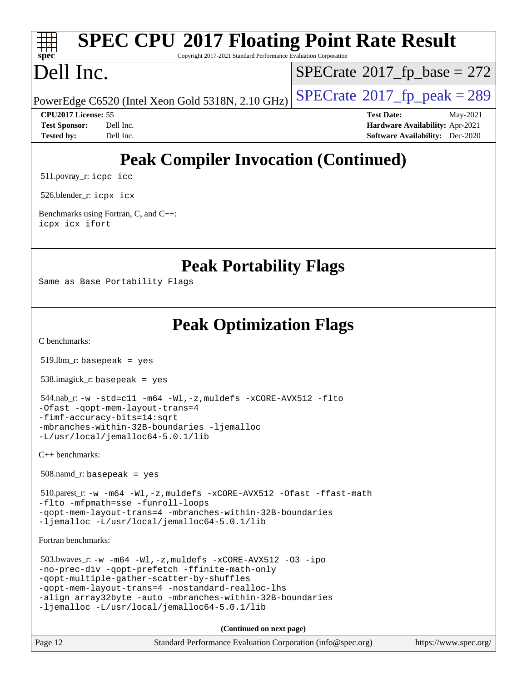## **[SPEC CPU](http://www.spec.org/auto/cpu2017/Docs/result-fields.html#SPECCPU2017FloatingPointRateResult)[2017 Floating Point Rate Result](http://www.spec.org/auto/cpu2017/Docs/result-fields.html#SPECCPU2017FloatingPointRateResult)** Copyright 2017-2021 Standard Performance Evaluation Corporation

# Dell Inc.

**[spec](http://www.spec.org/)**

 $SPECTate$ <sup>®</sup>[2017\\_fp\\_base =](http://www.spec.org/auto/cpu2017/Docs/result-fields.html#SPECrate2017fpbase) 272

PowerEdge C6520 (Intel Xeon Gold 5318N, 2.10 GHz)  $\left|$  [SPECrate](http://www.spec.org/auto/cpu2017/Docs/result-fields.html#SPECrate2017fppeak)<sup>®</sup>[2017\\_fp\\_peak = 2](http://www.spec.org/auto/cpu2017/Docs/result-fields.html#SPECrate2017fppeak)89

**[CPU2017 License:](http://www.spec.org/auto/cpu2017/Docs/result-fields.html#CPU2017License)** 55 **[Test Date:](http://www.spec.org/auto/cpu2017/Docs/result-fields.html#TestDate)** May-2021 **[Test Sponsor:](http://www.spec.org/auto/cpu2017/Docs/result-fields.html#TestSponsor)** Dell Inc. **[Hardware Availability:](http://www.spec.org/auto/cpu2017/Docs/result-fields.html#HardwareAvailability)** Apr-2021 **[Tested by:](http://www.spec.org/auto/cpu2017/Docs/result-fields.html#Testedby)** Dell Inc. **[Software Availability:](http://www.spec.org/auto/cpu2017/Docs/result-fields.html#SoftwareAvailability)** Dec-2020

# **[Peak Compiler Invocation \(Continued\)](http://www.spec.org/auto/cpu2017/Docs/result-fields.html#PeakCompilerInvocation)**

511.povray\_r: [icpc](http://www.spec.org/cpu2017/results/res2021q3/cpu2017-20210621-27628.flags.html#user_peakCXXLD511_povray_r_intel_icpc_c510b6838c7f56d33e37e94d029a35b4a7bccf4766a728ee175e80a419847e808290a9b78be685c44ab727ea267ec2f070ec5dc83b407c0218cded6866a35d07) [icc](http://www.spec.org/cpu2017/results/res2021q3/cpu2017-20210621-27628.flags.html#user_peakCC511_povray_r_intel_icc_66fc1ee009f7361af1fbd72ca7dcefbb700085f36577c54f309893dd4ec40d12360134090235512931783d35fd58c0460139e722d5067c5574d8eaf2b3e37e92)

526.blender\_r: [icpx](http://www.spec.org/cpu2017/results/res2021q3/cpu2017-20210621-27628.flags.html#user_peakCXXLD526_blender_r_intel_icpx_1e918ed14c436bf4b9b7c8bcdd51d4539fc71b3df010bd1e9f8732d9c34c2b2914e48204a846820f3c0ebb4095dea797a5c30b458ac0b6dffac65d78f781f5ca) [icx](http://www.spec.org/cpu2017/results/res2021q3/cpu2017-20210621-27628.flags.html#user_peakCC526_blender_r_intel_icx_fe2d28d19ae2a5db7c42fe0f2a2aed77cb715edd4aeb23434404a8be6683fe239869bb6ca8154ca98265c2e3b9226a719a0efe2953a4a7018c379b7010ccf087)

[Benchmarks using Fortran, C, and C++:](http://www.spec.org/auto/cpu2017/Docs/result-fields.html#BenchmarksusingFortranCandCXX) [icpx](http://www.spec.org/cpu2017/results/res2021q3/cpu2017-20210621-27628.flags.html#user_CC_CXX_FCpeak_intel_icpx_1e918ed14c436bf4b9b7c8bcdd51d4539fc71b3df010bd1e9f8732d9c34c2b2914e48204a846820f3c0ebb4095dea797a5c30b458ac0b6dffac65d78f781f5ca) [icx](http://www.spec.org/cpu2017/results/res2021q3/cpu2017-20210621-27628.flags.html#user_CC_CXX_FCpeak_intel_icx_fe2d28d19ae2a5db7c42fe0f2a2aed77cb715edd4aeb23434404a8be6683fe239869bb6ca8154ca98265c2e3b9226a719a0efe2953a4a7018c379b7010ccf087) [ifort](http://www.spec.org/cpu2017/results/res2021q3/cpu2017-20210621-27628.flags.html#user_CC_CXX_FCpeak_intel_ifort_8111460550e3ca792625aed983ce982f94888b8b503583aa7ba2b8303487b4d8a21a13e7191a45c5fd58ff318f48f9492884d4413fa793fd88dd292cad7027ca)

**[Peak Portability Flags](http://www.spec.org/auto/cpu2017/Docs/result-fields.html#PeakPortabilityFlags)**

Same as Base Portability Flags

**[Peak Optimization Flags](http://www.spec.org/auto/cpu2017/Docs/result-fields.html#PeakOptimizationFlags)**

[C benchmarks](http://www.spec.org/auto/cpu2017/Docs/result-fields.html#Cbenchmarks):

519.lbm\_r: basepeak = yes

538.imagick\_r: basepeak = yes

```
 544.nab_r: -w -std=c11 -m64 -Wl,-z,muldefs -xCORE-AVX512 -flto
-Ofast -qopt-mem-layout-trans=4
-fimf-accuracy-bits=14:sqrt
-mbranches-within-32B-boundaries -ljemalloc
-L/usr/local/jemalloc64-5.0.1/lib
```
[C++ benchmarks:](http://www.spec.org/auto/cpu2017/Docs/result-fields.html#CXXbenchmarks)

508.namd\_r: basepeak = yes

 510.parest\_r: [-w](http://www.spec.org/cpu2017/results/res2021q3/cpu2017-20210621-27628.flags.html#user_peakCXXLD510_parest_r_supress_warning_66fb2c4e5c1dd10f38bdd29623979399e5ae75ae6e5453792d82ef66afed381df4a8602f92cac8d2ea0fffa7b93b4b1ccb9ecad4af01c9b2fe338b2082ae3859) [-m64](http://www.spec.org/cpu2017/results/res2021q3/cpu2017-20210621-27628.flags.html#user_peakCXXLD510_parest_r_m64-icc) [-Wl,-z,muldefs](http://www.spec.org/cpu2017/results/res2021q3/cpu2017-20210621-27628.flags.html#user_peakEXTRA_LDFLAGS510_parest_r_link_force_multiple1_b4cbdb97b34bdee9ceefcfe54f4c8ea74255f0b02a4b23e853cdb0e18eb4525ac79b5a88067c842dd0ee6996c24547a27a4b99331201badda8798ef8a743f577) [-xCORE-AVX512](http://www.spec.org/cpu2017/results/res2021q3/cpu2017-20210621-27628.flags.html#user_peakCXXOPTIMIZE510_parest_r_f-xCORE-AVX512) [-Ofast](http://www.spec.org/cpu2017/results/res2021q3/cpu2017-20210621-27628.flags.html#user_peakCXXOPTIMIZE510_parest_r_f-Ofast) [-ffast-math](http://www.spec.org/cpu2017/results/res2021q3/cpu2017-20210621-27628.flags.html#user_peakCXXOPTIMIZE510_parest_r_f-ffast-math) [-flto](http://www.spec.org/cpu2017/results/res2021q3/cpu2017-20210621-27628.flags.html#user_peakCXXOPTIMIZE510_parest_r_f-flto) [-mfpmath=sse](http://www.spec.org/cpu2017/results/res2021q3/cpu2017-20210621-27628.flags.html#user_peakCXXOPTIMIZE510_parest_r_f-mfpmath_70eb8fac26bde974f8ab713bc9086c5621c0b8d2f6c86f38af0bd7062540daf19db5f3a066d8c6684be05d84c9b6322eb3b5be6619d967835195b93d6c02afa1) [-funroll-loops](http://www.spec.org/cpu2017/results/res2021q3/cpu2017-20210621-27628.flags.html#user_peakCXXOPTIMIZE510_parest_r_f-funroll-loops) [-qopt-mem-layout-trans=4](http://www.spec.org/cpu2017/results/res2021q3/cpu2017-20210621-27628.flags.html#user_peakCXXOPTIMIZE510_parest_r_f-qopt-mem-layout-trans_fa39e755916c150a61361b7846f310bcdf6f04e385ef281cadf3647acec3f0ae266d1a1d22d972a7087a248fd4e6ca390a3634700869573d231a252c784941a8) [-mbranches-within-32B-boundaries](http://www.spec.org/cpu2017/results/res2021q3/cpu2017-20210621-27628.flags.html#user_peakEXTRA_CXXOPTIMIZE510_parest_r_f-mbranches-within-32B-boundaries) [-ljemalloc](http://www.spec.org/cpu2017/results/res2021q3/cpu2017-20210621-27628.flags.html#user_peakEXTRA_LIBS510_parest_r_jemalloc_link_lib_d1249b907c500fa1c0672f44f562e3d0f79738ae9e3c4a9c376d49f265a04b9c99b167ecedbf6711b3085be911c67ff61f150a17b3472be731631ba4d0471706) [-L/usr/local/jemalloc64-5.0.1/lib](http://www.spec.org/cpu2017/results/res2021q3/cpu2017-20210621-27628.flags.html#user_peakEXTRA_LIBS510_parest_r_jemalloc_link_path64_1_cc289568b1a6c0fd3b62c91b824c27fcb5af5e8098e6ad028160d21144ef1b8aef3170d2acf0bee98a8da324cfe4f67d0a3d0c4cc4673d993d694dc2a0df248b)

[Fortran benchmarks](http://www.spec.org/auto/cpu2017/Docs/result-fields.html#Fortranbenchmarks):

 503.bwaves\_r: [-w](http://www.spec.org/cpu2017/results/res2021q3/cpu2017-20210621-27628.flags.html#user_peakFCLD503_bwaves_r_supress_warning_66fb2c4e5c1dd10f38bdd29623979399e5ae75ae6e5453792d82ef66afed381df4a8602f92cac8d2ea0fffa7b93b4b1ccb9ecad4af01c9b2fe338b2082ae3859) [-m64](http://www.spec.org/cpu2017/results/res2021q3/cpu2017-20210621-27628.flags.html#user_peakFCLD503_bwaves_r_m64-icc) [-Wl,-z,muldefs](http://www.spec.org/cpu2017/results/res2021q3/cpu2017-20210621-27628.flags.html#user_peakEXTRA_LDFLAGS503_bwaves_r_link_force_multiple1_b4cbdb97b34bdee9ceefcfe54f4c8ea74255f0b02a4b23e853cdb0e18eb4525ac79b5a88067c842dd0ee6996c24547a27a4b99331201badda8798ef8a743f577) [-xCORE-AVX512](http://www.spec.org/cpu2017/results/res2021q3/cpu2017-20210621-27628.flags.html#user_peakFOPTIMIZE503_bwaves_r_f-xCORE-AVX512) [-O3](http://www.spec.org/cpu2017/results/res2021q3/cpu2017-20210621-27628.flags.html#user_peakFOPTIMIZE503_bwaves_r_f-O3) [-ipo](http://www.spec.org/cpu2017/results/res2021q3/cpu2017-20210621-27628.flags.html#user_peakFOPTIMIZE503_bwaves_r_f-ipo) [-no-prec-div](http://www.spec.org/cpu2017/results/res2021q3/cpu2017-20210621-27628.flags.html#user_peakFOPTIMIZE503_bwaves_r_f-no-prec-div) [-qopt-prefetch](http://www.spec.org/cpu2017/results/res2021q3/cpu2017-20210621-27628.flags.html#user_peakFOPTIMIZE503_bwaves_r_f-qopt-prefetch) [-ffinite-math-only](http://www.spec.org/cpu2017/results/res2021q3/cpu2017-20210621-27628.flags.html#user_peakFOPTIMIZE503_bwaves_r_f_finite_math_only_cb91587bd2077682c4b38af759c288ed7c732db004271a9512da14a4f8007909a5f1427ecbf1a0fb78ff2a814402c6114ac565ca162485bbcae155b5e4258871) [-qopt-multiple-gather-scatter-by-shuffles](http://www.spec.org/cpu2017/results/res2021q3/cpu2017-20210621-27628.flags.html#user_peakFOPTIMIZE503_bwaves_r_f-qopt-multiple-gather-scatter-by-shuffles) [-qopt-mem-layout-trans=4](http://www.spec.org/cpu2017/results/res2021q3/cpu2017-20210621-27628.flags.html#user_peakFOPTIMIZE503_bwaves_r_f-qopt-mem-layout-trans_fa39e755916c150a61361b7846f310bcdf6f04e385ef281cadf3647acec3f0ae266d1a1d22d972a7087a248fd4e6ca390a3634700869573d231a252c784941a8) [-nostandard-realloc-lhs](http://www.spec.org/cpu2017/results/res2021q3/cpu2017-20210621-27628.flags.html#user_peakEXTRA_FOPTIMIZE503_bwaves_r_f_2003_std_realloc_82b4557e90729c0f113870c07e44d33d6f5a304b4f63d4c15d2d0f1fab99f5daaed73bdb9275d9ae411527f28b936061aa8b9c8f2d63842963b95c9dd6426b8a) [-align array32byte](http://www.spec.org/cpu2017/results/res2021q3/cpu2017-20210621-27628.flags.html#user_peakEXTRA_FOPTIMIZE503_bwaves_r_align_array32byte_b982fe038af199962ba9a80c053b8342c548c85b40b8e86eb3cc33dee0d7986a4af373ac2d51c3f7cf710a18d62fdce2948f201cd044323541f22fc0fffc51b6) [-auto](http://www.spec.org/cpu2017/results/res2021q3/cpu2017-20210621-27628.flags.html#user_peakEXTRA_FOPTIMIZE503_bwaves_r_f-auto) [-mbranches-within-32B-boundaries](http://www.spec.org/cpu2017/results/res2021q3/cpu2017-20210621-27628.flags.html#user_peakEXTRA_FOPTIMIZE503_bwaves_r_f-mbranches-within-32B-boundaries) [-ljemalloc](http://www.spec.org/cpu2017/results/res2021q3/cpu2017-20210621-27628.flags.html#user_peakEXTRA_LIBS503_bwaves_r_jemalloc_link_lib_d1249b907c500fa1c0672f44f562e3d0f79738ae9e3c4a9c376d49f265a04b9c99b167ecedbf6711b3085be911c67ff61f150a17b3472be731631ba4d0471706) [-L/usr/local/jemalloc64-5.0.1/lib](http://www.spec.org/cpu2017/results/res2021q3/cpu2017-20210621-27628.flags.html#user_peakEXTRA_LIBS503_bwaves_r_jemalloc_link_path64_1_cc289568b1a6c0fd3b62c91b824c27fcb5af5e8098e6ad028160d21144ef1b8aef3170d2acf0bee98a8da324cfe4f67d0a3d0c4cc4673d993d694dc2a0df248b)

**(Continued on next page)**

| Page 12<br>Standard Performance Evaluation Corporation (info@spec.org) | https://www.spec.org/ |
|------------------------------------------------------------------------|-----------------------|
|------------------------------------------------------------------------|-----------------------|